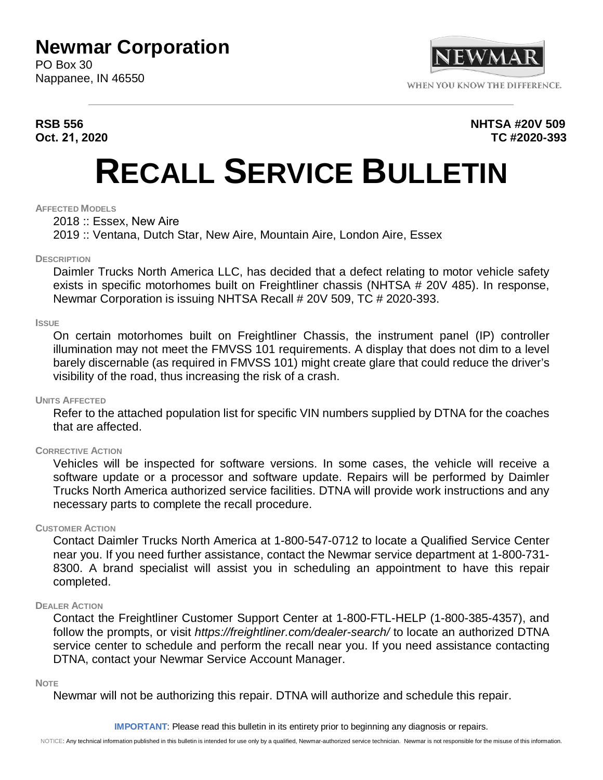## **Newmar Corporation**

PO Box 30 Nappanee, IN 46550



#### **RSB 556 NHTSA #20V 509 Oct. 21, 2020 TC #2020-393**

# **RECALL SERVICE BULLETIN**

#### **AFFECTED MODELS**

2018 :: Essex, New Aire

2019 :: Ventana, Dutch Star, New Aire, Mountain Aire, London Aire, Essex

#### **DESCRIPTION**

Daimler Trucks North America LLC, has decided that a defect relating to motor vehicle safety exists in specific motorhomes built on Freightliner chassis (NHTSA # 20V 485). In response, Newmar Corporation is issuing NHTSA Recall # 20V 509, TC # 2020-393.

#### **ISSUE**

On certain motorhomes built on Freightliner Chassis, the instrument panel (IP) controller illumination may not meet the FMVSS 101 requirements. A display that does not dim to a level barely discernable (as required in FMVSS 101) might create glare that could reduce the driver's visibility of the road, thus increasing the risk of a crash.

#### **UNITS AFFECTED**

Refer to the attached population list for specific VIN numbers supplied by DTNA for the coaches that are affected.

#### **CORRECTIVE ACTION**

Vehicles will be inspected for software versions. In some cases, the vehicle will receive a software update or a processor and software update. Repairs will be performed by Daimler Trucks North America authorized service facilities. DTNA will provide work instructions and any necessary parts to complete the recall procedure.

#### **CUSTOMER ACTION**

Contact Daimler Trucks North America at 1-800-547-0712 to locate a Qualified Service Center near you. If you need further assistance, contact the Newmar service department at 1-800-731- 8300. A brand specialist will assist you in scheduling an appointment to have this repair completed.

#### **DEALER ACTION**

Contact the Freightliner Customer Support Center at 1-800-FTL-HELP (1-800-385-4357), and follow the prompts, or visit *https://freightliner.com/dealer-search/* to locate an authorized DTNA service center to schedule and perform the recall near you. If you need assistance contacting DTNA, contact your Newmar Service Account Manager.

#### **NOTE**

Newmar will not be authorizing this repair. DTNA will authorize and schedule this repair.

**IMPORTANT**: Please read this bulletin in its entirety prior to beginning any diagnosis or repairs.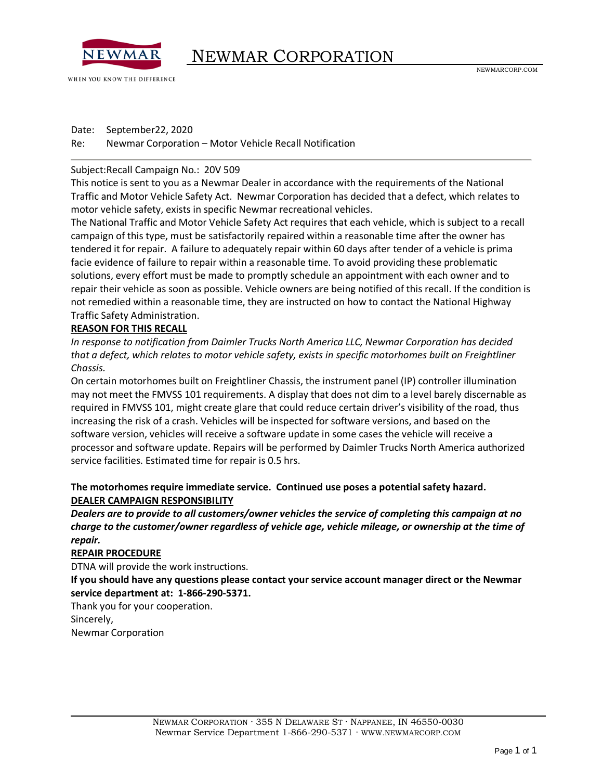

WHEN YOU KNOW THE DIFFERENCE

Date: September22, 2020

Re: Newmar Corporation – Motor Vehicle Recall Notification

#### Subject:Recall Campaign No.: 20V 509

This notice is sent to you as a Newmar Dealer in accordance with the requirements of the National Traffic and Motor Vehicle Safety Act. Newmar Corporation has decided that a defect, which relates to motor vehicle safety, exists in specific Newmar recreational vehicles.

The National Traffic and Motor Vehicle Safety Act requires that each vehicle, which is subject to a recall campaign of this type, must be satisfactorily repaired within a reasonable time after the owner has tendered it for repair. A failure to adequately repair within 60 days after tender of a vehicle is prima facie evidence of failure to repair within a reasonable time. To avoid providing these problematic solutions, every effort must be made to promptly schedule an appointment with each owner and to repair their vehicle as soon as possible. Vehicle owners are being notified of this recall. If the condition is not remedied within a reasonable time, they are instructed on how to contact the National Highway Traffic Safety Administration.

#### **REASON FOR THIS RECALL**

*In response to notification from Daimler Trucks North America LLC, Newmar Corporation has decided that a defect, which relates to motor vehicle safety, exists in specific motorhomes built on Freightliner Chassis.*

On certain motorhomes built on Freightliner Chassis, the instrument panel (IP) controller illumination may not meet the FMVSS 101 requirements. A display that does not dim to a level barely discernable as required in FMVSS 101, might create glare that could reduce certain driver's visibility of the road, thus increasing the risk of a crash. Vehicles will be inspected for software versions, and based on the software version, vehicles will receive a software update in some cases the vehicle will receive a processor and software update. Repairs will be performed by Daimler Trucks North America authorized service facilities. Estimated time for repair is 0.5 hrs.

#### **The motorhomes require immediate service. Continued use poses a potential safety hazard. DEALER CAMPAIGN RESPONSIBILITY**

*Dealers are to provide to all customers/owner vehicles the service of completing this campaign at no charge to the customer/owner regardless of vehicle age, vehicle mileage, or ownership at the time of repair.*

#### **REPAIR PROCEDURE**

DTNA will provide the work instructions.

**If you should have any questions please contact your service account manager direct or the Newmar service department at: 1-866-290-5371.**

Thank you for your cooperation.

Sincerely,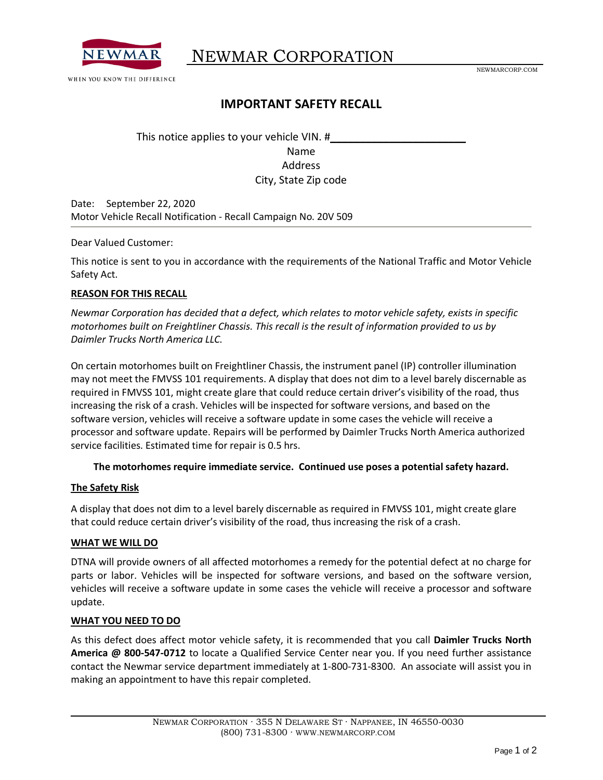

## NEWMAR CORPORATION .

NEWMARCORP.COM

### **IMPORTANT SAFETY RECALL**

This notice applies to your vehicle VIN. # Name Address City, State Zip code

Date: September 22, 2020 Motor Vehicle Recall Notification - Recall Campaign No. 20V 509

Dear Valued Customer:

This notice is sent to you in accordance with the requirements of the National Traffic and Motor Vehicle Safety Act.

#### **REASON FOR THIS RECALL**

*Newmar Corporation has decided that a defect, which relates to motor vehicle safety, exists in specific motorhomes built on Freightliner Chassis. This recall is the result of information provided to us by Daimler Trucks North America LLC.*

On certain motorhomes built on Freightliner Chassis, the instrument panel (IP) controller illumination may not meet the FMVSS 101 requirements. A display that does not dim to a level barely discernable as required in FMVSS 101, might create glare that could reduce certain driver's visibility of the road, thus increasing the risk of a crash. Vehicles will be inspected for software versions, and based on the software version, vehicles will receive a software update in some cases the vehicle will receive a processor and software update. Repairs will be performed by Daimler Trucks North America authorized service facilities. Estimated time for repair is 0.5 hrs.

#### **The motorhomes require immediate service. Continued use poses a potential safety hazard.**

#### **The Safety Risk**

A display that does not dim to a level barely discernable as required in FMVSS 101, might create glare that could reduce certain driver's visibility of the road, thus increasing the risk of a crash.

#### **WHAT WE WILL DO**

DTNA will provide owners of all affected motorhomes a remedy for the potential defect at no charge for parts or labor. Vehicles will be inspected for software versions, and based on the software version, vehicles will receive a software update in some cases the vehicle will receive a processor and software update.

#### **WHAT YOU NEED TO DO**

As this defect does affect motor vehicle safety, it is recommended that you call **Daimler Trucks North America @ 800-547-0712** to locate a Qualified Service Center near you. If you need further assistance contact the Newmar service department immediately at 1-800-731-8300. An associate will assist you in making an appointment to have this repair completed.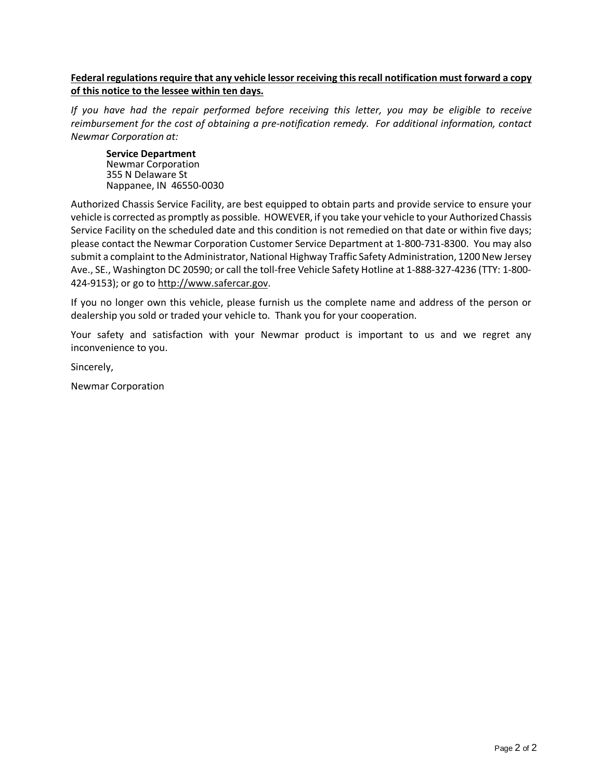#### **Federal regulations require that any vehicle lessor receiving this recall notification must forward a copy of this notice to the lessee within ten days.**

*If you have had the repair performed before receiving this letter, you may be eligible to receive reimbursement for the cost of obtaining a pre-notification remedy. For additional information, contact Newmar Corporation at:*

**Service Department** Newmar Corporation 355 N Delaware St Nappanee, IN 46550-0030

Authorized Chassis Service Facility, are best equipped to obtain parts and provide service to ensure your vehicle is corrected as promptly as possible. HOWEVER, if you take your vehicle to your Authorized Chassis Service Facility on the scheduled date and this condition is not remedied on that date or within five days; please contact the Newmar Corporation Customer Service Department at 1-800-731-8300. You may also submit a complaint to the Administrator, National Highway Traffic Safety Administration, 1200 New Jersey Ave., SE., Washington DC 20590; or call the toll-free Vehicle Safety Hotline at 1-888-327-4236 (TTY: 1-800- 424-9153); or go to [http://www.safercar.gov.](http://www.safercar.gov/)

If you no longer own this vehicle, please furnish us the complete name and address of the person or dealership you sold or traded your vehicle to. Thank you for your cooperation.

Your safety and satisfaction with your Newmar product is important to us and we regret any inconvenience to you.

Sincerely,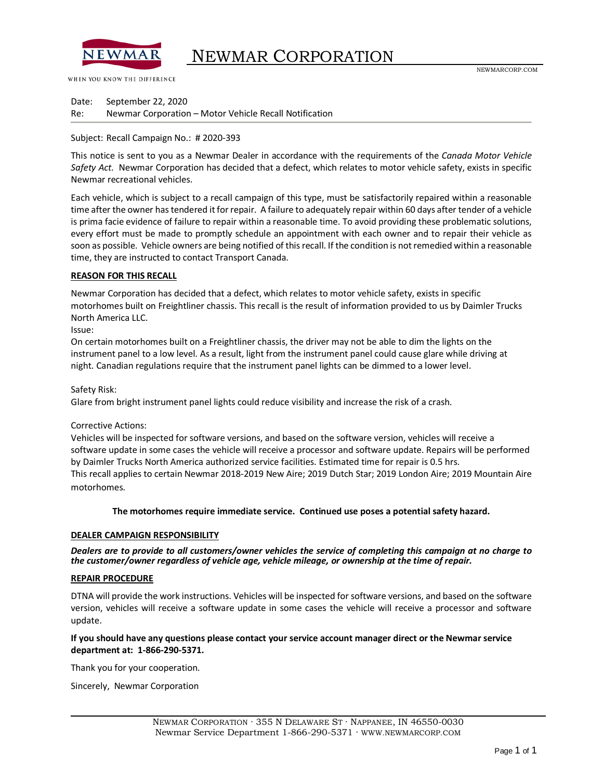

## NEWMAR CORPORATION

WHEN YOU KNOW THE DIFFERENCE

Date: September 22, 2020 Re: Newmar Corporation – Motor Vehicle Recall Notification

#### Subject: Recall Campaign No.: # 2020-393

This notice is sent to you as a Newmar Dealer in accordance with the requirements of the *Canada Motor Vehicle Safety Act.* Newmar Corporation has decided that a defect, which relates to motor vehicle safety, exists in specific Newmar recreational vehicles.

Each vehicle, which is subject to a recall campaign of this type, must be satisfactorily repaired within a reasonable time after the owner has tendered it for repair. A failure to adequately repair within 60 days after tender of a vehicle is prima facie evidence of failure to repair within a reasonable time. To avoid providing these problematic solutions, every effort must be made to promptly schedule an appointment with each owner and to repair their vehicle as soon as possible. Vehicle owners are being notified of this recall. If the condition is not remedied within a reasonable time, they are instructed to contact Transport Canada.

#### **REASON FOR THIS RECALL**

Newmar Corporation has decided that a defect, which relates to motor vehicle safety, exists in specific motorhomes built on Freightliner chassis. This recall is the result of information provided to us by Daimler Trucks North America LLC.

#### Issue:

On certain motorhomes built on a Freightliner chassis, the driver may not be able to dim the lights on the instrument panel to a low level. As a result, light from the instrument panel could cause glare while driving at night. Canadian regulations require that the instrument panel lights can be dimmed to a lower level.

#### Safety Risk:

Glare from bright instrument panel lights could reduce visibility and increase the risk of a crash.

#### Corrective Actions:

Vehicles will be inspected for software versions, and based on the software version, vehicles will receive a software update in some cases the vehicle will receive a processor and software update. Repairs will be performed by Daimler Trucks North America authorized service facilities. Estimated time for repair is 0.5 hrs. This recall applies to certain Newmar 2018-2019 New Aire; 2019 Dutch Star; 2019 London Aire; 2019 Mountain Aire motorhomes.

#### **The motorhomes require immediate service. Continued use poses a potential safety hazard.**

#### **DEALER CAMPAIGN RESPONSIBILITY**

*Dealers are to provide to all customers/owner vehicles the service of completing this campaign at no charge to the customer/owner regardless of vehicle age, vehicle mileage, or ownership at the time of repair.*

#### **REPAIR PROCEDURE**

DTNA will provide the work instructions. Vehicles will be inspected for software versions, and based on the software version, vehicles will receive a software update in some cases the vehicle will receive a processor and software update.

#### **If you should have any questions please contact your service account manager direct or the Newmar service department at: 1-866-290-5371.**

Thank you for your cooperation.

Sincerely, Newmar Corporation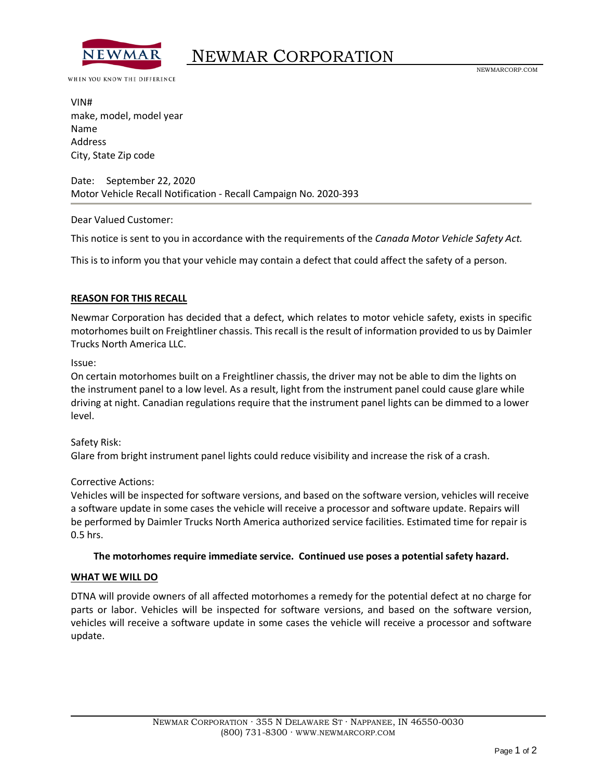

WHEN YOU KNOW THE DIFFERENCE

VIN# make, model, model year Name Address City, State Zip code

Date: September 22, 2020 Motor Vehicle Recall Notification - Recall Campaign No. 2020-393

Dear Valued Customer:

This notice is sent to you in accordance with the requirements of the *Canada Motor Vehicle Safety Act.*

This is to inform you that your vehicle may contain a defect that could affect the safety of a person.

#### **REASON FOR THIS RECALL**

Newmar Corporation has decided that a defect, which relates to motor vehicle safety, exists in specific motorhomes built on Freightliner chassis. This recall is the result of information provided to us by Daimler Trucks North America LLC.

Issue:

On certain motorhomes built on a Freightliner chassis, the driver may not be able to dim the lights on the instrument panel to a low level. As a result, light from the instrument panel could cause glare while driving at night. Canadian regulations require that the instrument panel lights can be dimmed to a lower level.

#### Safety Risk: Glare from bright instrument panel lights could reduce visibility and increase the risk of a crash.

Corrective Actions:

Vehicles will be inspected for software versions, and based on the software version, vehicles will receive a software update in some cases the vehicle will receive a processor and software update. Repairs will be performed by Daimler Trucks North America authorized service facilities. Estimated time for repair is 0.5 hrs.

#### **The motorhomes require immediate service. Continued use poses a potential safety hazard.**

#### **WHAT WE WILL DO**

DTNA will provide owners of all affected motorhomes a remedy for the potential defect at no charge for parts or labor. Vehicles will be inspected for software versions, and based on the software version, vehicles will receive a software update in some cases the vehicle will receive a processor and software update.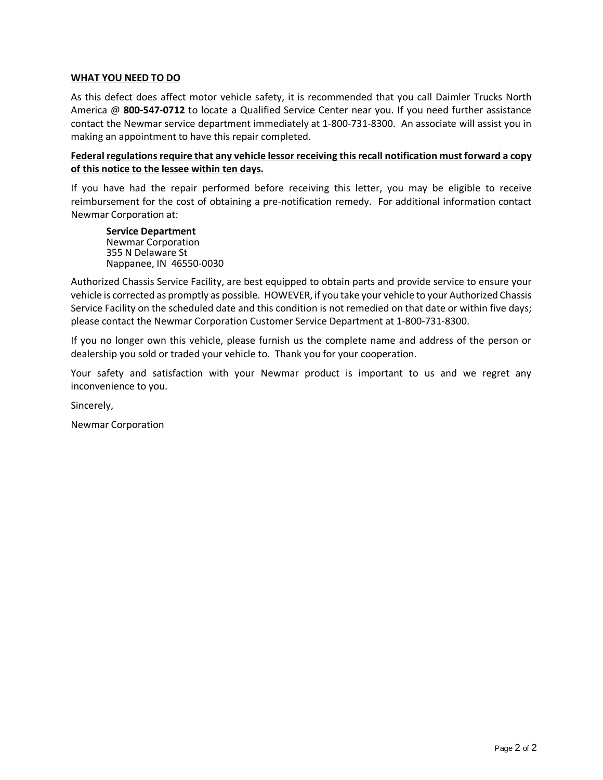#### **WHAT YOU NEED TO DO**

As this defect does affect motor vehicle safety, it is recommended that you call Daimler Trucks North America @ **800-547-0712** to locate a Qualified Service Center near you. If you need further assistance contact the Newmar service department immediately at 1-800-731-8300. An associate will assist you in making an appointment to have this repair completed.

#### **Federal regulations require that any vehicle lessor receiving this recall notification must forward a copy of this notice to the lessee within ten days.**

If you have had the repair performed before receiving this letter, you may be eligible to receive reimbursement for the cost of obtaining a pre-notification remedy. For additional information contact Newmar Corporation at:

**Service Department** Newmar Corporation 355 N Delaware St Nappanee, IN 46550-0030

Authorized Chassis Service Facility, are best equipped to obtain parts and provide service to ensure your vehicle is corrected as promptly as possible. HOWEVER, if you take your vehicle to your Authorized Chassis Service Facility on the scheduled date and this condition is not remedied on that date or within five days; please contact the Newmar Corporation Customer Service Department at 1-800-731-8300.

If you no longer own this vehicle, please furnish us the complete name and address of the person or dealership you sold or traded your vehicle to. Thank you for your cooperation.

Your safety and satisfaction with your Newmar product is important to us and we regret any inconvenience to you.

Sincerely,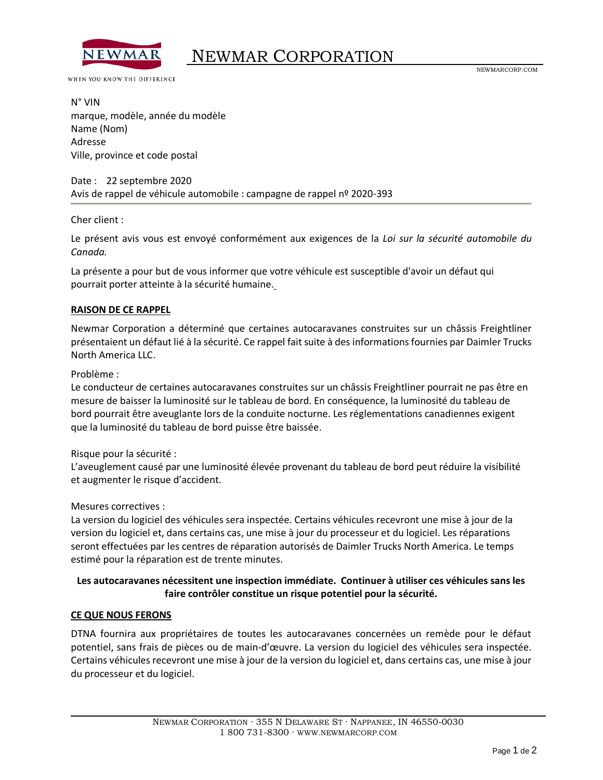

#### WHEN YOU KNOW THE DIFFERENCE

N° VIN marque, modèle, année du modèle Name (Nom) Adresse Ville, province et code postal

#### Date : 22 septembre 2020 Avis de rappel de véhicule automobile : campagne de rappel nº 2020-393

Cher client :

Le présent avis vous est envoyé conformément aux exigences de la *Loi sur la sécurité automobile du Canada.*

La présente a pour but de vous informer que votre véhicule est susceptible d'avoir un défaut qui pourrait porter atteinte à la sécurité humaine.

#### **RAISON DE CE RAPPEL**

Newmar Corporation a déterminé que certaines autocaravanes construites sur un châssis Freightliner présentaient un défaut lié à la sécurité. Ce rappel fait suite à des informations fournies par Daimler Trucks North America LLC.

#### Problème :

Le conducteur de certaines autocaravanes construites sur un châssis Freightliner pourrait ne pas être en mesure de baisser la luminosité sur le tableau de bord. En conséquence, la luminosité du tableau de bord pourrait être aveuglante lors de la conduite nocturne. Les réglementations canadiennes exigent que la luminosité du tableau de bord puisse être baissée.

#### Risque pour la sécurité :

L'aveuglement causé par une luminosité élevée provenant du tableau de bord peut réduire la visibilité et augmenter le risque d'accident.

#### Mesures correctives :

La version du logiciel des véhicules sera inspectée. Certains véhicules recevront une mise à jour de la version du logiciel et, dans certains cas, une mise à jour du processeur et du logiciel. Les réparations seront effectuées par les centres de réparation autorisés de Daimler Trucks North America. Le temps estimé pour la réparation est de trente minutes.

#### **Les autocaravanes nécessitent une inspection immédiate. Continuer à utiliser ces véhicules sans les faire contrôler constitue un risque potentiel pour la sécurité.**

#### **CE QUE NOUS FERONS**

DTNA fournira aux propriétaires de toutes les autocaravanes concernées un remède pour le défaut potentiel, sans frais de pièces ou de main-d'œuvre. La version du logiciel des véhicules sera inspectée. Certains véhicules recevront une mise à jour de la version du logiciel et, dans certains cas, une mise à jour du processeur et du logiciel.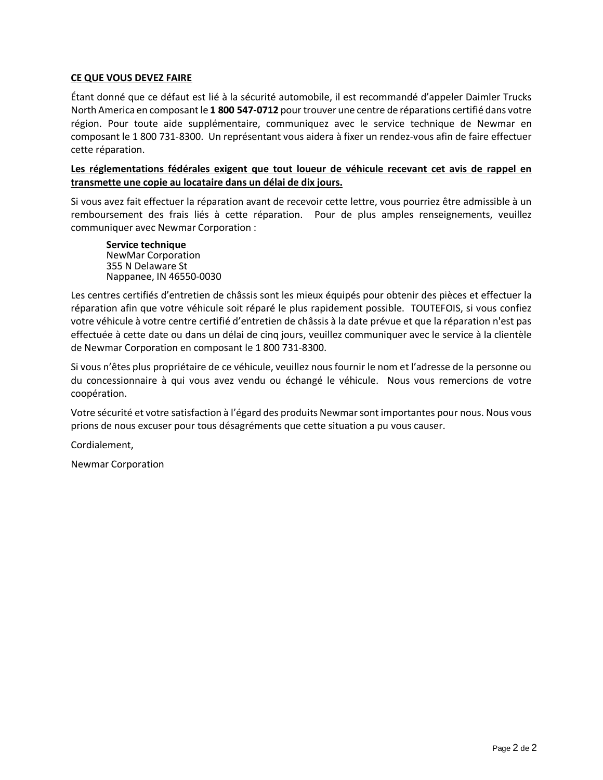#### **CE QUE VOUS DEVEZ FAIRE**

Étant donné que ce défaut est lié à la sécurité automobile, il est recommandé d'appeler Daimler Trucks North America en composant le **1 800 547-0712** pour trouver une centre de réparations certifié dans votre région. Pour toute aide supplémentaire, communiquez avec le service technique de Newmar en composant le 1 800 731-8300. Un représentant vous aidera à fixer un rendez-vous afin de faire effectuer cette réparation.

#### **Les réglementations fédérales exigent que tout loueur de véhicule recevant cet avis de rappel en transmette une copie au locataire dans un délai de dix jours.**

Si vous avez fait effectuer la réparation avant de recevoir cette lettre, vous pourriez être admissible à un remboursement des frais liés à cette réparation. Pour de plus amples renseignements, veuillez communiquer avec Newmar Corporation :

**Service technique** NewMar Corporation 355 N Delaware St Nappanee, IN 46550-0030

Les centres certifiés d'entretien de châssis sont les mieux équipés pour obtenir des pièces et effectuer la réparation afin que votre véhicule soit réparé le plus rapidement possible. TOUTEFOIS, si vous confiez votre véhicule à votre centre certifié d'entretien de châssis à la date prévue et que la réparation n'est pas effectuée à cette date ou dans un délai de cinq jours, veuillez communiquer avec le service à la clientèle de Newmar Corporation en composant le 1 800 731-8300.

Si vous n'êtes plus propriétaire de ce véhicule, veuillez nous fournir le nom et l'adresse de la personne ou du concessionnaire à qui vous avez vendu ou échangé le véhicule. Nous vous remercions de votre coopération.

Votre sécurité et votre satisfaction à l'égard des produits Newmar sont importantes pour nous. Nous vous prions de nous excuser pour tous désagréments que cette situation a pu vous causer.

Cordialement,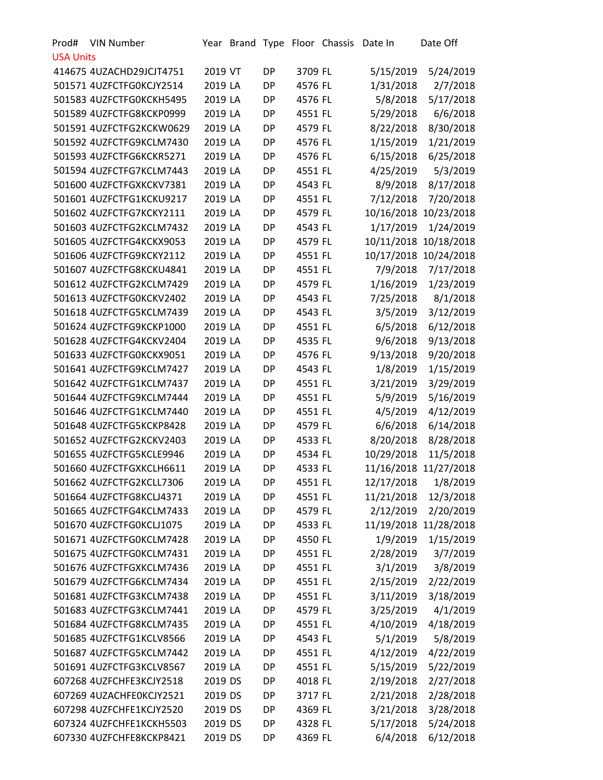| Prod#            | <b>VIN Number</b>        |         |           |         | Year Brand Type Floor Chassis Date In |            | Date Off              |
|------------------|--------------------------|---------|-----------|---------|---------------------------------------|------------|-----------------------|
| <b>USA Units</b> |                          |         |           |         |                                       |            |                       |
|                  | 414675 4UZACHD29JCJT4751 | 2019 VT | DP        | 3709 FL |                                       | 5/15/2019  | 5/24/2019             |
|                  | 501571 4UZFCTFG0KCJY2514 | 2019 LA | <b>DP</b> | 4576 FL |                                       | 1/31/2018  | 2/7/2018              |
|                  | 501583 4UZFCTFG0KCKH5495 | 2019 LA | DP        | 4576 FL |                                       | 5/8/2018   | 5/17/2018             |
|                  | 501589 4UZFCTFG8KCKP0999 | 2019 LA | <b>DP</b> | 4551 FL |                                       | 5/29/2018  | 6/6/2018              |
|                  | 501591 4UZFCTFG2KCKW0629 | 2019 LA | <b>DP</b> | 4579 FL |                                       | 8/22/2018  | 8/30/2018             |
|                  | 501592 4UZFCTFG9KCLM7430 | 2019 LA | DP        | 4576 FL |                                       | 1/15/2019  | 1/21/2019             |
|                  | 501593 4UZFCTFG6KCKR5271 | 2019 LA | <b>DP</b> | 4576 FL |                                       | 6/15/2018  | 6/25/2018             |
|                  | 501594 4UZFCTFG7KCLM7443 | 2019 LA | DP        | 4551 FL |                                       | 4/25/2019  | 5/3/2019              |
|                  | 501600 4UZFCTFGXKCKV7381 | 2019 LA | <b>DP</b> | 4543 FL |                                       | 8/9/2018   | 8/17/2018             |
|                  | 501601 4UZFCTFG1KCKU9217 | 2019 LA | <b>DP</b> | 4551 FL |                                       | 7/12/2018  | 7/20/2018             |
|                  | 501602 4UZFCTFG7KCKY2111 | 2019 LA | DP        | 4579 FL |                                       | 10/16/2018 | 10/23/2018            |
|                  | 501603 4UZFCTFG2KCLM7432 | 2019 LA | <b>DP</b> | 4543 FL |                                       | 1/17/2019  | 1/24/2019             |
|                  | 501605 4UZFCTFG4KCKX9053 | 2019 LA | DP        | 4579 FL |                                       | 10/11/2018 | 10/18/2018            |
|                  | 501606 4UZFCTFG9KCKY2112 | 2019 LA | <b>DP</b> | 4551 FL |                                       |            | 10/17/2018 10/24/2018 |
|                  | 501607 4UZFCTFG8KCKU4841 | 2019 LA | <b>DP</b> | 4551 FL |                                       | 7/9/2018   | 7/17/2018             |
|                  | 501612 4UZFCTFG2KCLM7429 | 2019 LA | DP        | 4579 FL |                                       | 1/16/2019  | 1/23/2019             |
|                  | 501613 4UZFCTFG0KCKV2402 | 2019 LA | <b>DP</b> | 4543 FL |                                       | 7/25/2018  | 8/1/2018              |
|                  | 501618 4UZFCTFG5KCLM7439 | 2019 LA | DP        | 4543 FL |                                       | 3/5/2019   | 3/12/2019             |
|                  | 501624 4UZFCTFG9KCKP1000 | 2019 LA | DP        | 4551 FL |                                       | 6/5/2018   | 6/12/2018             |
|                  | 501628 4UZFCTFG4KCKV2404 | 2019 LA | <b>DP</b> | 4535 FL |                                       | 9/6/2018   | 9/13/2018             |
|                  | 501633 4UZFCTFG0KCKX9051 | 2019 LA | DP        | 4576 FL |                                       | 9/13/2018  | 9/20/2018             |
|                  | 501641 4UZFCTFG9KCLM7427 | 2019 LA | <b>DP</b> | 4543 FL |                                       | 1/8/2019   | 1/15/2019             |
|                  | 501642 4UZFCTFG1KCLM7437 | 2019 LA | DP        | 4551 FL |                                       | 3/21/2019  | 3/29/2019             |
|                  | 501644 4UZFCTFG9KCLM7444 | 2019 LA | DP        | 4551 FL |                                       | 5/9/2019   | 5/16/2019             |
|                  | 501646 4UZFCTFG1KCLM7440 | 2019 LA | <b>DP</b> | 4551 FL |                                       | 4/5/2019   | 4/12/2019             |
|                  | 501648 4UZFCTFG5KCKP8428 | 2019 LA | <b>DP</b> | 4579 FL |                                       | 6/6/2018   | 6/14/2018             |
|                  | 501652 4UZFCTFG2KCKV2403 | 2019 LA | <b>DP</b> | 4533 FL |                                       | 8/20/2018  | 8/28/2018             |
|                  | 501655 4UZFCTFG5KCLE9946 | 2019 LA | DP        | 4534 FL |                                       | 10/29/2018 | 11/5/2018             |
|                  | 501660 4UZFCTFGXKCLH6611 | 2019 LA | <b>DP</b> | 4533 FL |                                       |            | 11/16/2018 11/27/2018 |
|                  | 501662 4UZFCTFG2KCLL7306 | 2019 LA | DP        | 4551 FL |                                       | 12/17/2018 | 1/8/2019              |
|                  | 501664 4UZFCTFG8KCLJ4371 | 2019 LA | <b>DP</b> | 4551 FL |                                       | 11/21/2018 | 12/3/2018             |
|                  | 501665 4UZFCTFG4KCLM7433 | 2019 LA | <b>DP</b> | 4579 FL |                                       | 2/12/2019  | 2/20/2019             |
|                  | 501670 4UZFCTFG0KCLJ1075 | 2019 LA | DP        | 4533 FL |                                       |            | 11/19/2018 11/28/2018 |
|                  | 501671 4UZFCTFG0KCLM7428 | 2019 LA | <b>DP</b> | 4550 FL |                                       | 1/9/2019   | 1/15/2019             |
|                  | 501675 4UZFCTFG0KCLM7431 | 2019 LA | DP        | 4551 FL |                                       | 2/28/2019  | 3/7/2019              |
|                  | 501676 4UZFCTFGXKCLM7436 | 2019 LA | DP        | 4551 FL |                                       | 3/1/2019   | 3/8/2019              |
|                  | 501679 4UZFCTFG6KCLM7434 | 2019 LA | <b>DP</b> | 4551 FL |                                       | 2/15/2019  | 2/22/2019             |
|                  | 501681 4UZFCTFG3KCLM7438 | 2019 LA | DP        | 4551 FL |                                       | 3/11/2019  | 3/18/2019             |
|                  | 501683 4UZFCTFG3KCLM7441 | 2019 LA | <b>DP</b> | 4579 FL |                                       | 3/25/2019  | 4/1/2019              |
|                  | 501684 4UZFCTFG8KCLM7435 | 2019 LA | DP        | 4551 FL |                                       | 4/10/2019  | 4/18/2019             |
|                  | 501685 4UZFCTFG1KCLV8566 | 2019 LA | DP        | 4543 FL |                                       | 5/1/2019   | 5/8/2019              |
|                  | 501687 4UZFCTFG5KCLM7442 | 2019 LA | <b>DP</b> | 4551 FL |                                       | 4/12/2019  | 4/22/2019             |
|                  | 501691 4UZFCTFG3KCLV8567 | 2019 LA | DP        | 4551 FL |                                       | 5/15/2019  | 5/22/2019             |
|                  | 607268 4UZFCHFE3KCJY2518 | 2019 DS | <b>DP</b> | 4018 FL |                                       | 2/19/2018  | 2/27/2018             |
|                  | 607269 4UZACHFE0KCJY2521 | 2019 DS | DP        | 3717 FL |                                       | 2/21/2018  | 2/28/2018             |
|                  | 607298 4UZFCHFE1KCJY2520 | 2019 DS | DP        | 4369 FL |                                       | 3/21/2018  | 3/28/2018             |
|                  | 607324 4UZFCHFE1KCKH5503 | 2019 DS | <b>DP</b> | 4328 FL |                                       | 5/17/2018  | 5/24/2018             |
|                  | 607330 4UZFCHFE8KCKP8421 | 2019 DS | DP        | 4369 FL |                                       | 6/4/2018   | 6/12/2018             |
|                  |                          |         |           |         |                                       |            |                       |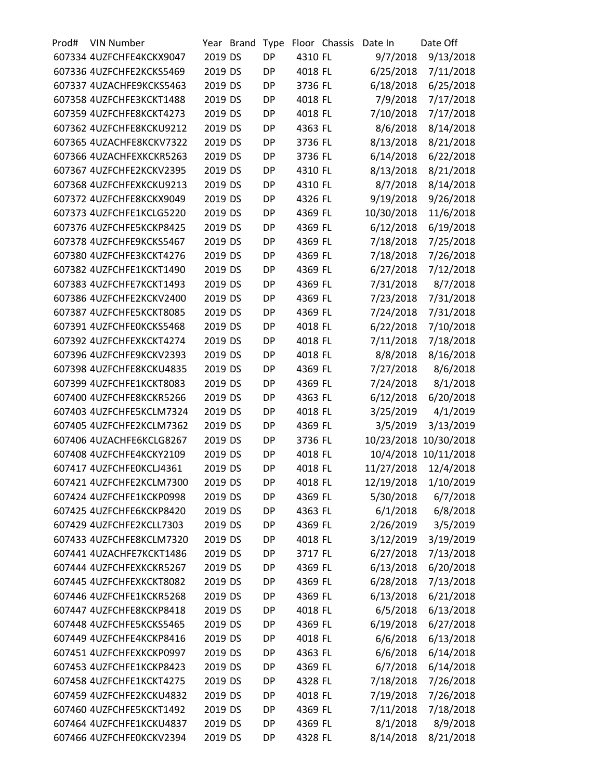| Prod# | <b>VIN Number</b>        |         | Year Brand | Type      |         | Floor Chassis | Date In    | Date Off             |
|-------|--------------------------|---------|------------|-----------|---------|---------------|------------|----------------------|
|       | 607334 4UZFCHFE4KCKX9047 | 2019 DS |            | <b>DP</b> | 4310 FL |               | 9/7/2018   | 9/13/2018            |
|       | 607336 4UZFCHFE2KCKS5469 | 2019 DS |            | <b>DP</b> | 4018 FL |               | 6/25/2018  | 7/11/2018            |
|       | 607337 4UZACHFE9KCKS5463 | 2019 DS |            | <b>DP</b> | 3736 FL |               | 6/18/2018  | 6/25/2018            |
|       | 607358 4UZFCHFE3KCKT1488 | 2019 DS |            | <b>DP</b> | 4018 FL |               | 7/9/2018   | 7/17/2018            |
|       | 607359 4UZFCHFE8KCKT4273 | 2019 DS |            | <b>DP</b> | 4018 FL |               | 7/10/2018  | 7/17/2018            |
|       | 607362 4UZFCHFE8KCKU9212 | 2019 DS |            | <b>DP</b> | 4363 FL |               | 8/6/2018   | 8/14/2018            |
|       | 607365 4UZACHFE8KCKV7322 | 2019 DS |            | <b>DP</b> | 3736 FL |               | 8/13/2018  | 8/21/2018            |
|       | 607366 4UZACHFEXKCKR5263 | 2019 DS |            | <b>DP</b> | 3736 FL |               | 6/14/2018  | 6/22/2018            |
|       | 607367 4UZFCHFE2KCKV2395 | 2019 DS |            | <b>DP</b> | 4310 FL |               | 8/13/2018  | 8/21/2018            |
|       | 607368 4UZFCHFEXKCKU9213 | 2019 DS |            | <b>DP</b> | 4310 FL |               | 8/7/2018   | 8/14/2018            |
|       | 607372 4UZFCHFE8KCKX9049 | 2019 DS |            | <b>DP</b> | 4326 FL |               | 9/19/2018  | 9/26/2018            |
|       | 607373 4UZFCHFE1KCLG5220 | 2019 DS |            | <b>DP</b> | 4369 FL |               | 10/30/2018 | 11/6/2018            |
|       | 607376 4UZFCHFE5KCKP8425 | 2019 DS |            | <b>DP</b> | 4369 FL |               | 6/12/2018  | 6/19/2018            |
|       | 607378 4UZFCHFE9KCKS5467 | 2019 DS |            | <b>DP</b> | 4369 FL |               | 7/18/2018  | 7/25/2018            |
|       | 607380 4UZFCHFE3KCKT4276 | 2019 DS |            | <b>DP</b> | 4369 FL |               | 7/18/2018  | 7/26/2018            |
|       | 607382 4UZFCHFE1KCKT1490 | 2019 DS |            | <b>DP</b> | 4369 FL |               | 6/27/2018  | 7/12/2018            |
|       | 607383 4UZFCHFE7KCKT1493 | 2019 DS |            | <b>DP</b> | 4369 FL |               | 7/31/2018  | 8/7/2018             |
|       | 607386 4UZFCHFE2KCKV2400 | 2019 DS |            | <b>DP</b> | 4369 FL |               | 7/23/2018  | 7/31/2018            |
|       | 607387 4UZFCHFE5KCKT8085 | 2019 DS |            | <b>DP</b> | 4369 FL |               | 7/24/2018  | 7/31/2018            |
|       | 607391 4UZFCHFE0KCKS5468 | 2019 DS |            | <b>DP</b> | 4018 FL |               | 6/22/2018  | 7/10/2018            |
|       | 607392 4UZFCHFEXKCKT4274 | 2019 DS |            | <b>DP</b> | 4018 FL |               | 7/11/2018  | 7/18/2018            |
|       | 607396 4UZFCHFE9KCKV2393 | 2019 DS |            | <b>DP</b> | 4018 FL |               | 8/8/2018   | 8/16/2018            |
|       | 607398 4UZFCHFE8KCKU4835 | 2019 DS |            | <b>DP</b> | 4369 FL |               | 7/27/2018  | 8/6/2018             |
|       | 607399 4UZFCHFE1KCKT8083 | 2019 DS |            | <b>DP</b> | 4369 FL |               | 7/24/2018  | 8/1/2018             |
|       | 607400 4UZFCHFE8KCKR5266 | 2019 DS |            | <b>DP</b> | 4363 FL |               | 6/12/2018  | 6/20/2018            |
|       | 607403 4UZFCHFE5KCLM7324 | 2019 DS |            | <b>DP</b> | 4018 FL |               | 3/25/2019  | 4/1/2019             |
|       | 607405 4UZFCHFE2KCLM7362 | 2019 DS |            | <b>DP</b> | 4369 FL |               | 3/5/2019   | 3/13/2019            |
|       | 607406 4UZACHFE6KCLG8267 | 2019 DS |            | <b>DP</b> | 3736 FL |               | 10/23/2018 | 10/30/2018           |
|       | 607408 4UZFCHFE4KCKY2109 | 2019 DS |            | <b>DP</b> | 4018 FL |               |            | 10/4/2018 10/11/2018 |
|       | 607417 4UZFCHFE0KCLJ4361 | 2019 DS |            | <b>DP</b> | 4018 FL |               | 11/27/2018 | 12/4/2018            |
|       | 607421 4UZFCHFE2KCLM7300 | 2019 DS |            | DP        | 4018 FL |               | 12/19/2018 | 1/10/2019            |
|       | 607424 4UZFCHFE1KCKP0998 | 2019 DS |            | DP        | 4369 FL |               | 5/30/2018  | 6/7/2018             |
|       | 607425 4UZFCHFE6KCKP8420 | 2019 DS |            | <b>DP</b> | 4363 FL |               | 6/1/2018   | 6/8/2018             |
|       | 607429 4UZFCHFE2KCLL7303 | 2019 DS |            | DP        | 4369 FL |               | 2/26/2019  | 3/5/2019             |
|       | 607433 4UZFCHFE8KCLM7320 | 2019 DS |            | DP        | 4018 FL |               | 3/12/2019  | 3/19/2019            |
|       | 607441 4UZACHFE7KCKT1486 | 2019 DS |            | <b>DP</b> | 3717 FL |               | 6/27/2018  | 7/13/2018            |
|       | 607444 4UZFCHFEXKCKR5267 | 2019 DS |            | DP        | 4369 FL |               | 6/13/2018  | 6/20/2018            |
|       | 607445 4UZFCHFEXKCKT8082 | 2019 DS |            | DP        | 4369 FL |               | 6/28/2018  | 7/13/2018            |
|       | 607446 4UZFCHFE1KCKR5268 | 2019 DS |            |           |         |               |            |                      |
|       |                          |         |            | <b>DP</b> | 4369 FL |               | 6/13/2018  | 6/21/2018            |
|       | 607447 4UZFCHFE8KCKP8418 | 2019 DS |            | DP        | 4018 FL |               | 6/5/2018   | 6/13/2018            |
|       | 607448 4UZFCHFE5KCKS5465 | 2019 DS |            | <b>DP</b> | 4369 FL |               | 6/19/2018  | 6/27/2018            |
|       | 607449 4UZFCHFE4KCKP8416 | 2019 DS |            | DP        | 4018 FL |               | 6/6/2018   | 6/13/2018            |
|       | 607451 4UZFCHFEXKCKP0997 | 2019 DS |            | DP        | 4363 FL |               | 6/6/2018   | 6/14/2018            |
|       | 607453 4UZFCHFE1KCKP8423 | 2019 DS |            | DP        | 4369 FL |               | 6/7/2018   | 6/14/2018            |
|       | 607458 4UZFCHFE1KCKT4275 | 2019 DS |            | DP        | 4328 FL |               | 7/18/2018  | 7/26/2018            |
|       | 607459 4UZFCHFE2KCKU4832 | 2019 DS |            | DP        | 4018 FL |               | 7/19/2018  | 7/26/2018            |
|       | 607460 4UZFCHFE5KCKT1492 | 2019 DS |            | DP        | 4369 FL |               | 7/11/2018  | 7/18/2018            |
|       | 607464 4UZFCHFE1KCKU4837 | 2019 DS |            | <b>DP</b> | 4369 FL |               | 8/1/2018   | 8/9/2018             |
|       | 607466 4UZFCHFE0KCKV2394 | 2019 DS |            | DP        | 4328 FL |               | 8/14/2018  | 8/21/2018            |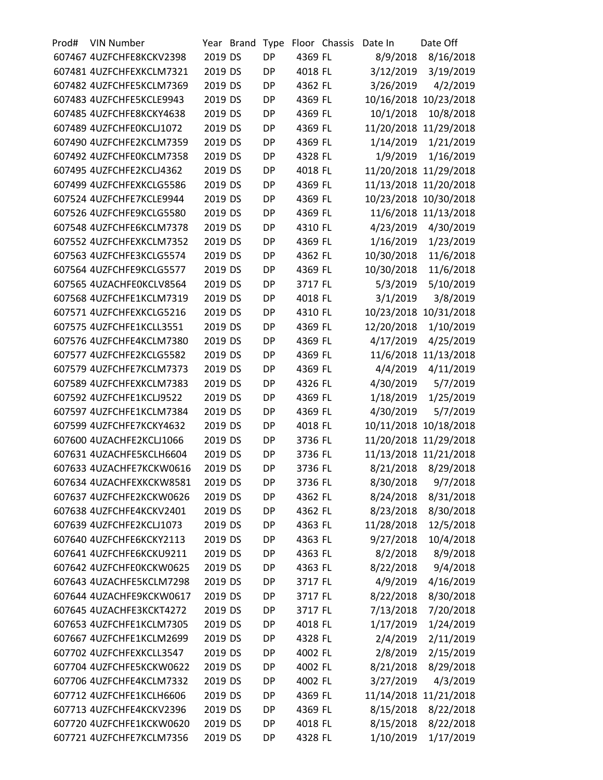| Prod# | <b>VIN Number</b>        |         | Year Brand | Type      |         | Floor Chassis | Date In    | Date Off              |
|-------|--------------------------|---------|------------|-----------|---------|---------------|------------|-----------------------|
|       | 607467 4UZFCHFE8KCKV2398 | 2019 DS |            | <b>DP</b> | 4369 FL |               | 8/9/2018   | 8/16/2018             |
|       | 607481 4UZFCHFEXKCLM7321 | 2019 DS |            | DP        | 4018 FL |               | 3/12/2019  | 3/19/2019             |
|       | 607482 4UZFCHFE5KCLM7369 | 2019 DS |            | <b>DP</b> | 4362 FL |               | 3/26/2019  | 4/2/2019              |
|       | 607483 4UZFCHFE5KCLE9943 | 2019 DS |            | <b>DP</b> | 4369 FL |               | 10/16/2018 | 10/23/2018            |
|       | 607485 4UZFCHFE8KCKY4638 | 2019 DS |            | DP        | 4369 FL |               | 10/1/2018  | 10/8/2018             |
|       | 607489 4UZFCHFE0KCLJ1072 | 2019 DS |            | <b>DP</b> | 4369 FL |               |            | 11/20/2018 11/29/2018 |
|       | 607490 4UZFCHFE2KCLM7359 | 2019 DS |            | <b>DP</b> | 4369 FL |               | 1/14/2019  | 1/21/2019             |
|       | 607492 4UZFCHFE0KCLM7358 | 2019 DS |            | <b>DP</b> | 4328 FL |               | 1/9/2019   | 1/16/2019             |
|       | 607495 4UZFCHFE2KCLJ4362 | 2019 DS |            | <b>DP</b> | 4018 FL |               |            | 11/20/2018 11/29/2018 |
|       | 607499 4UZFCHFEXKCLG5586 | 2019 DS |            | <b>DP</b> | 4369 FL |               | 11/13/2018 | 11/20/2018            |
|       | 607524 4UZFCHFE7KCLE9944 | 2019 DS |            | <b>DP</b> | 4369 FL |               | 10/23/2018 | 10/30/2018            |
|       | 607526 4UZFCHFE9KCLG5580 | 2019 DS |            | <b>DP</b> | 4369 FL |               |            | 11/6/2018 11/13/2018  |
|       | 607548 4UZFCHFE6KCLM7378 | 2019 DS |            | <b>DP</b> | 4310 FL |               | 4/23/2019  | 4/30/2019             |
|       | 607552 4UZFCHFEXKCLM7352 | 2019 DS |            | <b>DP</b> | 4369 FL |               | 1/16/2019  | 1/23/2019             |
|       | 607563 4UZFCHFE3KCLG5574 | 2019 DS |            | DP        | 4362 FL |               | 10/30/2018 | 11/6/2018             |
|       | 607564 4UZFCHFE9KCLG5577 | 2019 DS |            | <b>DP</b> | 4369 FL |               | 10/30/2018 | 11/6/2018             |
|       | 607565 4UZACHFE0KCLV8564 | 2019 DS |            | <b>DP</b> | 3717 FL |               | 5/3/2019   | 5/10/2019             |
|       | 607568 4UZFCHFE1KCLM7319 | 2019 DS |            | <b>DP</b> | 4018 FL |               | 3/1/2019   | 3/8/2019              |
|       | 607571 4UZFCHFEXKCLG5216 | 2019 DS |            | <b>DP</b> | 4310 FL |               |            | 10/23/2018 10/31/2018 |
|       | 607575 4UZFCHFE1KCLL3551 | 2019 DS |            | <b>DP</b> | 4369 FL |               | 12/20/2018 | 1/10/2019             |
|       | 607576 4UZFCHFE4KCLM7380 | 2019 DS |            | <b>DP</b> | 4369 FL |               | 4/17/2019  | 4/25/2019             |
|       | 607577 4UZFCHFE2KCLG5582 | 2019 DS |            | <b>DP</b> | 4369 FL |               |            | 11/6/2018 11/13/2018  |
|       | 607579 4UZFCHFE7KCLM7373 | 2019 DS |            | <b>DP</b> | 4369 FL |               | 4/4/2019   | 4/11/2019             |
|       | 607589 4UZFCHFEXKCLM7383 | 2019 DS |            | <b>DP</b> | 4326 FL |               | 4/30/2019  | 5/7/2019              |
|       | 607592 4UZFCHFE1KCLJ9522 | 2019 DS |            | DP        | 4369 FL |               | 1/18/2019  | 1/25/2019             |
|       | 607597 4UZFCHFE1KCLM7384 | 2019 DS |            | <b>DP</b> | 4369 FL |               | 4/30/2019  |                       |
|       |                          |         |            |           |         |               |            | 5/7/2019              |
|       | 607599 4UZFCHFE7KCKY4632 | 2019 DS |            | <b>DP</b> | 4018 FL |               | 10/11/2018 | 10/18/2018            |
|       | 607600 4UZACHFE2KCLJ1066 | 2019 DS |            | <b>DP</b> | 3736 FL |               | 11/20/2018 | 11/29/2018            |
|       | 607631 4UZACHFE5KCLH6604 | 2019 DS |            | <b>DP</b> | 3736 FL |               |            | 11/13/2018 11/21/2018 |
|       | 607633 4UZACHFE7KCKW0616 | 2019 DS |            | DP        | 3736 FL |               | 8/21/2018  | 8/29/2018             |
|       | 607634 4UZACHFEXKCKW8581 | 2019 DS |            | <b>DP</b> | 3736 FL |               | 8/30/2018  | 9/7/2018              |
|       | 607637 4UZFCHFE2KCKW0626 | 2019 DS |            | <b>DP</b> | 4362 FL |               | 8/24/2018  | 8/31/2018             |
|       | 607638 4UZFCHFE4KCKV2401 | 2019 DS |            | DP        | 4362 FL |               | 8/23/2018  | 8/30/2018             |
|       | 607639 4UZFCHFE2KCLJ1073 | 2019 DS |            | DP        | 4363 FL |               | 11/28/2018 | 12/5/2018             |
|       | 607640 4UZFCHFE6KCKY2113 | 2019 DS |            | DP        | 4363 FL |               | 9/27/2018  | 10/4/2018             |
|       | 607641 4UZFCHFE6KCKU9211 | 2019 DS |            | <b>DP</b> | 4363 FL |               | 8/2/2018   | 8/9/2018              |
|       | 607642 4UZFCHFE0KCKW0625 | 2019 DS |            | DP        | 4363 FL |               | 8/22/2018  | 9/4/2018              |
|       | 607643 4UZACHFE5KCLM7298 | 2019 DS |            | DP        | 3717 FL |               | 4/9/2019   | 4/16/2019             |
|       | 607644 4UZACHFE9KCKW0617 | 2019 DS |            | DP        | 3717 FL |               | 8/22/2018  | 8/30/2018             |
|       | 607645 4UZACHFE3KCKT4272 | 2019 DS |            | DP        | 3717 FL |               | 7/13/2018  | 7/20/2018             |
|       | 607653 4UZFCHFE1KCLM7305 | 2019 DS |            | <b>DP</b> | 4018 FL |               | 1/17/2019  | 1/24/2019             |
|       | 607667 4UZFCHFE1KCLM2699 | 2019 DS |            | DP        | 4328 FL |               | 2/4/2019   | 2/11/2019             |
|       | 607702 4UZFCHFEXKCLL3547 | 2019 DS |            | DP        | 4002 FL |               | 2/8/2019   | 2/15/2019             |
|       | 607704 4UZFCHFE5KCKW0622 | 2019 DS |            | DP        | 4002 FL |               | 8/21/2018  | 8/29/2018             |
|       | 607706 4UZFCHFE4KCLM7332 | 2019 DS |            | DP        | 4002 FL |               | 3/27/2019  | 4/3/2019              |
|       | 607712 4UZFCHFE1KCLH6606 | 2019 DS |            | <b>DP</b> | 4369 FL |               |            | 11/14/2018 11/21/2018 |
|       | 607713 4UZFCHFE4KCKV2396 | 2019 DS |            | DP        | 4369 FL |               | 8/15/2018  | 8/22/2018             |
|       | 607720 4UZFCHFE1KCKW0620 | 2019 DS |            | DP        | 4018 FL |               | 8/15/2018  | 8/22/2018             |
|       | 607721 4UZFCHFE7KCLM7356 | 2019 DS |            | DP        | 4328 FL |               | 1/10/2019  | 1/17/2019             |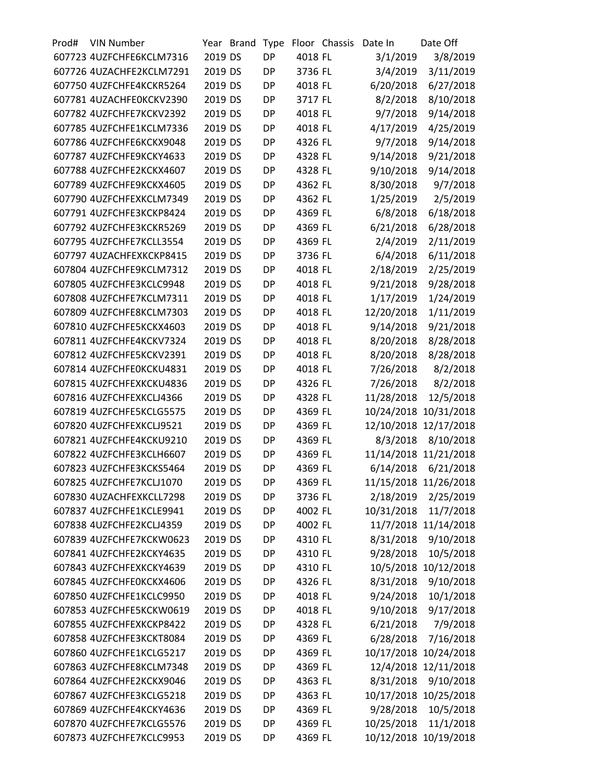| Prod# | <b>VIN Number</b>        |         | Year Brand | Type      |         | Floor Chassis | Date In    | Date Off              |
|-------|--------------------------|---------|------------|-----------|---------|---------------|------------|-----------------------|
|       | 607723 4UZFCHFE6KCLM7316 | 2019 DS |            | <b>DP</b> | 4018 FL |               | 3/1/2019   | 3/8/2019              |
|       | 607726 4UZACHFE2KCLM7291 | 2019 DS |            | <b>DP</b> | 3736 FL |               | 3/4/2019   | 3/11/2019             |
|       | 607750 4UZFCHFE4KCKR5264 | 2019 DS |            | <b>DP</b> | 4018 FL |               | 6/20/2018  | 6/27/2018             |
|       | 607781 4UZACHFE0KCKV2390 | 2019 DS |            | <b>DP</b> | 3717 FL |               | 8/2/2018   | 8/10/2018             |
|       | 607782 4UZFCHFE7KCKV2392 | 2019 DS |            | <b>DP</b> | 4018 FL |               | 9/7/2018   | 9/14/2018             |
|       | 607785 4UZFCHFE1KCLM7336 | 2019 DS |            | <b>DP</b> | 4018 FL |               | 4/17/2019  | 4/25/2019             |
|       | 607786 4UZFCHFE6KCKX9048 | 2019 DS |            | <b>DP</b> | 4326 FL |               | 9/7/2018   | 9/14/2018             |
|       | 607787 4UZFCHFE9KCKY4633 | 2019 DS |            | <b>DP</b> | 4328 FL |               | 9/14/2018  | 9/21/2018             |
|       | 607788 4UZFCHFE2KCKX4607 | 2019 DS |            | <b>DP</b> | 4328 FL |               | 9/10/2018  | 9/14/2018             |
|       | 607789 4UZFCHFE9KCKX4605 | 2019 DS |            | <b>DP</b> | 4362 FL |               | 8/30/2018  | 9/7/2018              |
|       | 607790 4UZFCHFEXKCLM7349 | 2019 DS |            | <b>DP</b> | 4362 FL |               | 1/25/2019  | 2/5/2019              |
|       | 607791 4UZFCHFE3KCKP8424 | 2019 DS |            | <b>DP</b> | 4369 FL |               | 6/8/2018   | 6/18/2018             |
|       | 607792 4UZFCHFE3KCKR5269 | 2019 DS |            | <b>DP</b> | 4369 FL |               | 6/21/2018  | 6/28/2018             |
|       | 607795 4UZFCHFE7KCLL3554 | 2019 DS |            | <b>DP</b> | 4369 FL |               | 2/4/2019   | 2/11/2019             |
|       | 607797 4UZACHFEXKCKP8415 | 2019 DS |            | <b>DP</b> | 3736 FL |               | 6/4/2018   | 6/11/2018             |
|       | 607804 4UZFCHFE9KCLM7312 | 2019 DS |            | <b>DP</b> | 4018 FL |               | 2/18/2019  | 2/25/2019             |
|       | 607805 4UZFCHFE3KCLC9948 | 2019 DS |            | <b>DP</b> | 4018 FL |               | 9/21/2018  | 9/28/2018             |
|       | 607808 4UZFCHFE7KCLM7311 | 2019 DS |            | <b>DP</b> | 4018 FL |               | 1/17/2019  | 1/24/2019             |
|       | 607809 4UZFCHFE8KCLM7303 | 2019 DS |            | <b>DP</b> | 4018 FL |               | 12/20/2018 | 1/11/2019             |
|       | 607810 4UZFCHFE5KCKX4603 | 2019 DS |            | DP        | 4018 FL |               | 9/14/2018  | 9/21/2018             |
|       | 607811 4UZFCHFE4KCKV7324 | 2019 DS |            | <b>DP</b> | 4018 FL |               | 8/20/2018  | 8/28/2018             |
|       |                          | 2019 DS |            |           |         |               |            |                       |
|       | 607812 4UZFCHFE5KCKV2391 |         |            | <b>DP</b> | 4018 FL |               | 8/20/2018  | 8/28/2018             |
|       | 607814 4UZFCHFE0KCKU4831 | 2019 DS |            | <b>DP</b> | 4018 FL |               | 7/26/2018  | 8/2/2018              |
|       | 607815 4UZFCHFEXKCKU4836 | 2019 DS |            | <b>DP</b> | 4326 FL |               | 7/26/2018  | 8/2/2018              |
|       | 607816 4UZFCHFEXKCLJ4366 | 2019 DS |            | DP        | 4328 FL |               | 11/28/2018 | 12/5/2018             |
|       | 607819 4UZFCHFE5KCLG5575 | 2019 DS |            | <b>DP</b> | 4369 FL |               | 10/24/2018 | 10/31/2018            |
|       | 607820 4UZFCHFEXKCLJ9521 | 2019 DS |            | <b>DP</b> | 4369 FL |               |            | 12/10/2018 12/17/2018 |
|       | 607821 4UZFCHFE4KCKU9210 | 2019 DS |            | <b>DP</b> | 4369 FL |               | 8/3/2018   | 8/10/2018             |
|       | 607822 4UZFCHFE3KCLH6607 | 2019 DS |            | <b>DP</b> | 4369 FL |               |            | 11/14/2018 11/21/2018 |
|       | 607823 4UZFCHFE3KCKS5464 | 2019 DS |            | <b>DP</b> | 4369 FL |               | 6/14/2018  | 6/21/2018             |
|       | 607825 4UZFCHFE7KCLJ1070 | 2019 DS |            | <b>DP</b> | 4369 FL |               |            | 11/15/2018 11/26/2018 |
|       | 607830 4UZACHFEXKCLL7298 | 2019 DS |            | <b>DP</b> | 3736 FL |               | 2/18/2019  | 2/25/2019             |
|       | 607837 4UZFCHFE1KCLE9941 | 2019 DS |            | DP        | 4002 FL |               | 10/31/2018 | 11/7/2018             |
|       | 607838 4UZFCHFE2KCLJ4359 | 2019 DS |            | <b>DP</b> | 4002 FL |               |            | 11/7/2018 11/14/2018  |
|       | 607839 4UZFCHFE7KCKW0623 | 2019 DS |            | DP        | 4310 FL |               | 8/31/2018  | 9/10/2018             |
|       | 607841 4UZFCHFE2KCKY4635 | 2019 DS |            | <b>DP</b> | 4310 FL |               | 9/28/2018  | 10/5/2018             |
|       | 607843 4UZFCHFEXKCKY4639 | 2019 DS |            | DP        | 4310 FL |               |            | 10/5/2018 10/12/2018  |
|       | 607845 4UZFCHFE0KCKX4606 | 2019 DS |            | DP        | 4326 FL |               | 8/31/2018  | 9/10/2018             |
|       | 607850 4UZFCHFE1KCLC9950 | 2019 DS |            | <b>DP</b> | 4018 FL |               | 9/24/2018  | 10/1/2018             |
|       | 607853 4UZFCHFE5KCKW0619 | 2019 DS |            | DP        | 4018 FL |               | 9/10/2018  | 9/17/2018             |
|       | 607855 4UZFCHFEXKCKP8422 | 2019 DS |            | <b>DP</b> | 4328 FL |               | 6/21/2018  | 7/9/2018              |
|       | 607858 4UZFCHFE3KCKT8084 | 2019 DS |            | DP        | 4369 FL |               | 6/28/2018  | 7/16/2018             |
|       | 607860 4UZFCHFE1KCLG5217 | 2019 DS |            | DP        | 4369 FL |               |            | 10/17/2018 10/24/2018 |
|       | 607863 4UZFCHFE8KCLM7348 | 2019 DS |            | <b>DP</b> | 4369 FL |               |            | 12/4/2018 12/11/2018  |
|       | 607864 4UZFCHFE2KCKX9046 | 2019 DS |            | DP        | 4363 FL |               | 8/31/2018  | 9/10/2018             |
|       | 607867 4UZFCHFE3KCLG5218 | 2019 DS |            | <b>DP</b> | 4363 FL |               |            | 10/17/2018 10/25/2018 |
|       | 607869 4UZFCHFE4KCKY4636 | 2019 DS |            | DP        | 4369 FL |               | 9/28/2018  | 10/5/2018             |
|       | 607870 4UZFCHFE7KCLG5576 | 2019 DS |            | DP        | 4369 FL |               | 10/25/2018 | 11/1/2018             |
|       | 607873 4UZFCHFE7KCLC9953 | 2019 DS |            | DP        | 4369 FL |               |            | 10/12/2018 10/19/2018 |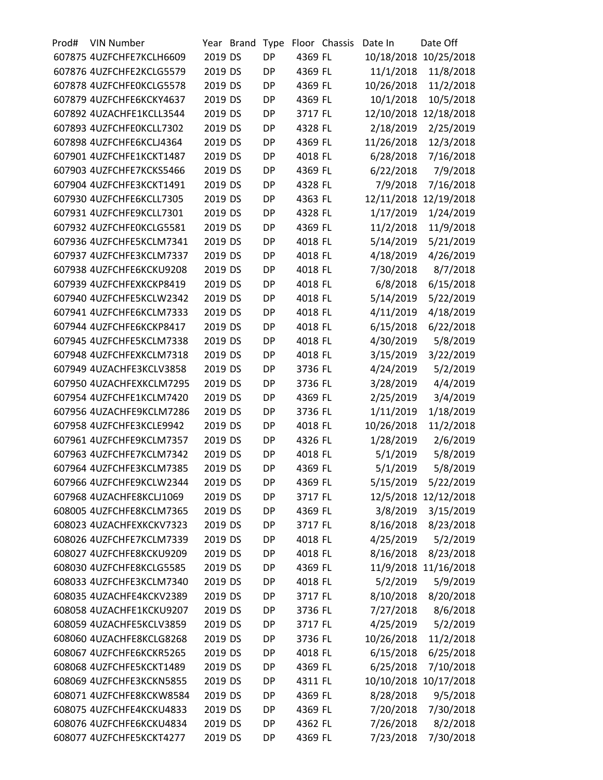| Prod# | <b>VIN Number</b>        |         | Year Brand | Type      |         | Floor Chassis | Date In    | Date Off              |
|-------|--------------------------|---------|------------|-----------|---------|---------------|------------|-----------------------|
|       | 607875 4UZFCHFE7KCLH6609 | 2019 DS |            | <b>DP</b> | 4369 FL |               |            | 10/18/2018 10/25/2018 |
|       | 607876 4UZFCHFE2KCLG5579 | 2019 DS |            | <b>DP</b> | 4369 FL |               | 11/1/2018  | 11/8/2018             |
|       | 607878 4UZFCHFE0KCLG5578 | 2019 DS |            | <b>DP</b> | 4369 FL |               | 10/26/2018 | 11/2/2018             |
|       | 607879 4UZFCHFE6KCKY4637 | 2019 DS |            | <b>DP</b> | 4369 FL |               | 10/1/2018  | 10/5/2018             |
|       | 607892 4UZACHFE1KCLL3544 | 2019 DS |            | <b>DP</b> | 3717 FL |               | 12/10/2018 | 12/18/2018            |
|       | 607893 4UZFCHFE0KCLL7302 | 2019 DS |            | <b>DP</b> | 4328 FL |               | 2/18/2019  | 2/25/2019             |
|       | 607898 4UZFCHFE6KCLJ4364 | 2019 DS |            | <b>DP</b> | 4369 FL |               | 11/26/2018 | 12/3/2018             |
|       | 607901 4UZFCHFE1KCKT1487 | 2019 DS |            | <b>DP</b> | 4018 FL |               | 6/28/2018  | 7/16/2018             |
|       | 607903 4UZFCHFE7KCKS5466 | 2019 DS |            | <b>DP</b> | 4369 FL |               | 6/22/2018  | 7/9/2018              |
|       | 607904 4UZFCHFE3KCKT1491 | 2019 DS |            | <b>DP</b> | 4328 FL |               | 7/9/2018   | 7/16/2018             |
|       | 607930 4UZFCHFE6KCLL7305 | 2019 DS |            | <b>DP</b> | 4363 FL |               | 12/11/2018 | 12/19/2018            |
|       | 607931 4UZFCHFE9KCLL7301 | 2019 DS |            | <b>DP</b> | 4328 FL |               | 1/17/2019  | 1/24/2019             |
|       | 607932 4UZFCHFE0KCLG5581 | 2019 DS |            | <b>DP</b> | 4369 FL |               | 11/2/2018  | 11/9/2018             |
|       | 607936 4UZFCHFE5KCLM7341 | 2019 DS |            | <b>DP</b> | 4018 FL |               | 5/14/2019  | 5/21/2019             |
|       | 607937 4UZFCHFE3KCLM7337 | 2019 DS |            | <b>DP</b> | 4018 FL |               | 4/18/2019  | 4/26/2019             |
|       | 607938 4UZFCHFE6KCKU9208 | 2019 DS |            | <b>DP</b> | 4018 FL |               | 7/30/2018  | 8/7/2018              |
|       | 607939 4UZFCHFEXKCKP8419 | 2019 DS |            | <b>DP</b> | 4018 FL |               | 6/8/2018   | 6/15/2018             |
|       | 607940 4UZFCHFE5KCLW2342 | 2019 DS |            | <b>DP</b> | 4018 FL |               | 5/14/2019  | 5/22/2019             |
|       | 607941 4UZFCHFE6KCLM7333 | 2019 DS |            | <b>DP</b> | 4018 FL |               | 4/11/2019  | 4/18/2019             |
|       | 607944 4UZFCHFE6KCKP8417 | 2019 DS |            | <b>DP</b> | 4018 FL |               | 6/15/2018  | 6/22/2018             |
|       | 607945 4UZFCHFE5KCLM7338 | 2019 DS |            | <b>DP</b> | 4018 FL |               | 4/30/2019  | 5/8/2019              |
|       | 607948 4UZFCHFEXKCLM7318 | 2019 DS |            | <b>DP</b> | 4018 FL |               | 3/15/2019  | 3/22/2019             |
|       | 607949 4UZACHFE3KCLV3858 | 2019 DS |            | <b>DP</b> | 3736 FL |               | 4/24/2019  | 5/2/2019              |
|       | 607950 4UZACHFEXKCLM7295 | 2019 DS |            | <b>DP</b> | 3736 FL |               | 3/28/2019  | 4/4/2019              |
|       | 607954 4UZFCHFE1KCLM7420 | 2019 DS |            | <b>DP</b> | 4369 FL |               | 2/25/2019  | 3/4/2019              |
|       | 607956 4UZACHFE9KCLM7286 | 2019 DS |            | <b>DP</b> | 3736 FL |               | 1/11/2019  | 1/18/2019             |
|       | 607958 4UZFCHFE3KCLE9942 | 2019 DS |            | <b>DP</b> | 4018 FL |               | 10/26/2018 | 11/2/2018             |
|       | 607961 4UZFCHFE9KCLM7357 | 2019 DS |            | <b>DP</b> | 4326 FL |               | 1/28/2019  | 2/6/2019              |
|       | 607963 4UZFCHFE7KCLM7342 | 2019 DS |            | <b>DP</b> | 4018 FL |               | 5/1/2019   | 5/8/2019              |
|       | 607964 4UZFCHFE3KCLM7385 | 2019 DS |            | <b>DP</b> | 4369 FL |               | 5/1/2019   | 5/8/2019              |
|       | 607966 4UZFCHFE9KCLW2344 | 2019 DS |            | DP        | 4369 FL |               | 5/15/2019  | 5/22/2019             |
|       | 607968 4UZACHFE8KCLJ1069 | 2019 DS |            | DP        | 3717 FL |               |            | 12/5/2018 12/12/2018  |
|       | 608005 4UZFCHFE8KCLM7365 | 2019 DS |            | DP        | 4369 FL |               | 3/8/2019   | 3/15/2019             |
|       | 608023 4UZACHFEXKCKV7323 | 2019 DS |            | <b>DP</b> | 3717 FL |               | 8/16/2018  | 8/23/2018             |
|       | 608026 4UZFCHFE7KCLM7339 | 2019 DS |            | DP        | 4018 FL |               | 4/25/2019  | 5/2/2019              |
|       | 608027 4UZFCHFE8KCKU9209 | 2019 DS |            | <b>DP</b> | 4018 FL |               | 8/16/2018  | 8/23/2018             |
|       | 608030 4UZFCHFE8KCLG5585 | 2019 DS |            | DP        | 4369 FL |               |            | 11/9/2018 11/16/2018  |
|       | 608033 4UZFCHFE3KCLM7340 | 2019 DS |            | DP        | 4018 FL |               | 5/2/2019   | 5/9/2019              |
|       | 608035 4UZACHFE4KCKV2389 | 2019 DS |            | <b>DP</b> |         |               | 8/10/2018  |                       |
|       |                          |         |            |           | 3717 FL |               |            | 8/20/2018             |
|       | 608058 4UZACHFE1KCKU9207 | 2019 DS |            | DP        | 3736 FL |               | 7/27/2018  | 8/6/2018              |
|       | 608059 4UZACHFE5KCLV3859 | 2019 DS |            | <b>DP</b> | 3717 FL |               | 4/25/2019  | 5/2/2019              |
|       | 608060 4UZACHFE8KCLG8268 | 2019 DS |            | DP        | 3736 FL |               | 10/26/2018 | 11/2/2018             |
|       | 608067 4UZFCHFE6KCKR5265 | 2019 DS |            | DP        | 4018 FL |               | 6/15/2018  | 6/25/2018             |
|       | 608068 4UZFCHFE5KCKT1489 | 2019 DS |            | <b>DP</b> | 4369 FL |               | 6/25/2018  | 7/10/2018             |
|       | 608069 4UZFCHFE3KCKN5855 | 2019 DS |            | DP        | 4311 FL |               | 10/10/2018 | 10/17/2018            |
|       | 608071 4UZFCHFE8KCKW8584 | 2019 DS |            | <b>DP</b> | 4369 FL |               | 8/28/2018  | 9/5/2018              |
|       | 608075 4UZFCHFE4KCKU4833 | 2019 DS |            | DP        | 4369 FL |               | 7/20/2018  | 7/30/2018             |
|       | 608076 4UZFCHFE6KCKU4834 | 2019 DS |            | <b>DP</b> | 4362 FL |               | 7/26/2018  | 8/2/2018              |
|       | 608077 4UZFCHFE5KCKT4277 | 2019 DS |            | DP        | 4369 FL |               | 7/23/2018  | 7/30/2018             |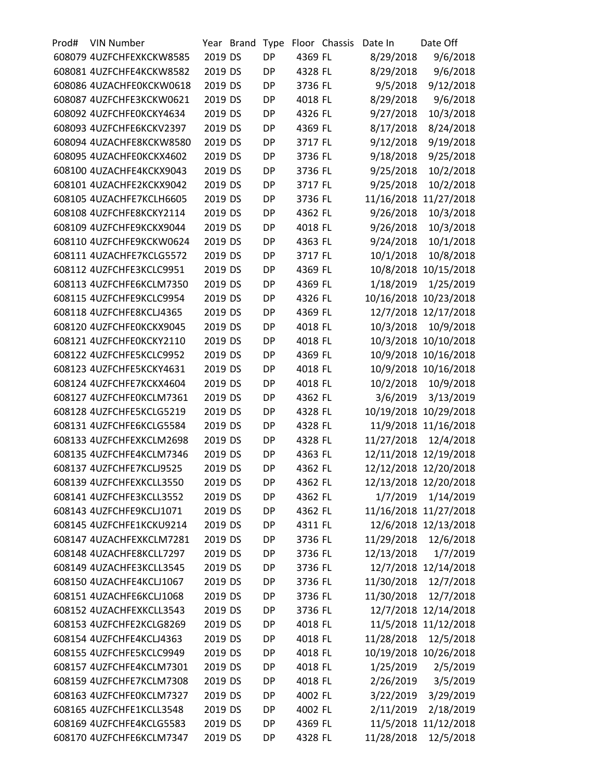| Prod# | <b>VIN Number</b>        |         | Year Brand | Type      |         | Floor Chassis | Date In    | Date Off              |
|-------|--------------------------|---------|------------|-----------|---------|---------------|------------|-----------------------|
|       | 608079 4UZFCHFEXKCKW8585 | 2019 DS |            | <b>DP</b> | 4369 FL |               | 8/29/2018  | 9/6/2018              |
|       | 608081 4UZFCHFE4KCKW8582 | 2019 DS |            | <b>DP</b> | 4328 FL |               | 8/29/2018  | 9/6/2018              |
|       | 608086 4UZACHFE0KCKW0618 | 2019 DS |            | <b>DP</b> | 3736 FL |               | 9/5/2018   | 9/12/2018             |
|       | 608087 4UZFCHFE3KCKW0621 | 2019 DS |            | <b>DP</b> | 4018 FL |               | 8/29/2018  | 9/6/2018              |
|       | 608092 4UZFCHFE0KCKY4634 | 2019 DS |            | <b>DP</b> | 4326 FL |               | 9/27/2018  | 10/3/2018             |
|       | 608093 4UZFCHFE6KCKV2397 | 2019 DS |            | <b>DP</b> | 4369 FL |               | 8/17/2018  | 8/24/2018             |
|       | 608094 4UZACHFE8KCKW8580 | 2019 DS |            | <b>DP</b> | 3717 FL |               | 9/12/2018  | 9/19/2018             |
|       | 608095 4UZACHFE0KCKX4602 | 2019 DS |            | <b>DP</b> | 3736 FL |               | 9/18/2018  | 9/25/2018             |
|       | 608100 4UZACHFE4KCKX9043 | 2019 DS |            | <b>DP</b> | 3736 FL |               | 9/25/2018  | 10/2/2018             |
|       | 608101 4UZACHFE2KCKX9042 | 2019 DS |            | <b>DP</b> | 3717 FL |               | 9/25/2018  | 10/2/2018             |
|       | 608105 4UZACHFE7KCLH6605 | 2019 DS |            | <b>DP</b> | 3736 FL |               |            | 11/16/2018 11/27/2018 |
|       | 608108 4UZFCHFE8KCKY2114 | 2019 DS |            | <b>DP</b> | 4362 FL |               | 9/26/2018  | 10/3/2018             |
|       | 608109 4UZFCHFE9KCKX9044 | 2019 DS |            | <b>DP</b> | 4018 FL |               | 9/26/2018  | 10/3/2018             |
|       | 608110 4UZFCHFE9KCKW0624 | 2019 DS |            | <b>DP</b> | 4363 FL |               | 9/24/2018  | 10/1/2018             |
|       | 608111 4UZACHFE7KCLG5572 | 2019 DS |            | <b>DP</b> | 3717 FL |               | 10/1/2018  | 10/8/2018             |
|       | 608112 4UZFCHFE3KCLC9951 | 2019 DS |            | <b>DP</b> | 4369 FL |               |            | 10/8/2018 10/15/2018  |
|       | 608113 4UZFCHFE6KCLM7350 | 2019 DS |            | <b>DP</b> | 4369 FL |               | 1/18/2019  | 1/25/2019             |
|       | 608115 4UZFCHFE9KCLC9954 | 2019 DS |            | <b>DP</b> | 4326 FL |               | 10/16/2018 | 10/23/2018            |
|       | 608118 4UZFCHFE8KCLJ4365 | 2019 DS |            | <b>DP</b> | 4369 FL |               |            | 12/7/2018 12/17/2018  |
|       | 608120 4UZFCHFE0KCKX9045 | 2019 DS |            | DP        | 4018 FL |               | 10/3/2018  | 10/9/2018             |
|       | 608121 4UZFCHFE0KCKY2110 | 2019 DS |            | <b>DP</b> | 4018 FL |               |            | 10/3/2018 10/10/2018  |
|       | 608122 4UZFCHFE5KCLC9952 | 2019 DS |            | <b>DP</b> | 4369 FL |               |            | 10/9/2018 10/16/2018  |
|       | 608123 4UZFCHFE5KCKY4631 | 2019 DS |            | <b>DP</b> | 4018 FL |               |            | 10/9/2018 10/16/2018  |
|       | 608124 4UZFCHFE7KCKX4604 | 2019 DS |            | <b>DP</b> | 4018 FL |               | 10/2/2018  | 10/9/2018             |
|       | 608127 4UZFCHFE0KCLM7361 | 2019 DS |            | <b>DP</b> | 4362 FL |               | 3/6/2019   | 3/13/2019             |
|       | 608128 4UZFCHFE5KCLG5219 | 2019 DS |            | <b>DP</b> | 4328 FL |               |            | 10/19/2018 10/29/2018 |
|       | 608131 4UZFCHFE6KCLG5584 | 2019 DS |            | <b>DP</b> | 4328 FL |               |            | 11/9/2018 11/16/2018  |
|       | 608133 4UZFCHFEXKCLM2698 | 2019 DS |            | <b>DP</b> | 4328 FL |               | 11/27/2018 | 12/4/2018             |
|       | 608135 4UZFCHFE4KCLM7346 | 2019 DS |            | <b>DP</b> | 4363 FL |               |            | 12/11/2018 12/19/2018 |
|       | 608137 4UZFCHFE7KCLJ9525 | 2019 DS |            | <b>DP</b> | 4362 FL |               |            | 12/12/2018 12/20/2018 |
|       | 608139 4UZFCHFEXKCLL3550 | 2019 DS |            | <b>DP</b> | 4362 FL |               |            | 12/13/2018 12/20/2018 |
|       | 608141 4UZFCHFE3KCLL3552 | 2019 DS |            | DP        | 4362 FL |               |            | 1/7/2019 1/14/2019    |
|       | 608143 4UZFCHFE9KCLJ1071 | 2019 DS |            | DP        | 4362 FL |               |            | 11/16/2018 11/27/2018 |
|       | 608145 4UZFCHFE1KCKU9214 | 2019 DS |            | <b>DP</b> | 4311 FL |               |            | 12/6/2018 12/13/2018  |
|       | 608147 4UZACHFEXKCLM7281 | 2019 DS |            | DP        | 3736 FL |               | 11/29/2018 | 12/6/2018             |
|       | 608148 4UZACHFE8KCLL7297 | 2019 DS |            | <b>DP</b> | 3736 FL |               | 12/13/2018 | 1/7/2019              |
|       | 608149 4UZACHFE3KCLL3545 | 2019 DS |            | DP        | 3736 FL |               |            | 12/7/2018 12/14/2018  |
|       | 608150 4UZACHFE4KCLJ1067 | 2019 DS |            | DP        | 3736 FL |               | 11/30/2018 | 12/7/2018             |
|       | 608151 4UZACHFE6KCLJ1068 | 2019 DS |            | <b>DP</b> | 3736 FL |               | 11/30/2018 | 12/7/2018             |
|       | 608152 4UZACHFEXKCLL3543 | 2019 DS |            | DP        | 3736 FL |               |            | 12/7/2018 12/14/2018  |
|       | 608153 4UZFCHFE2KCLG8269 | 2019 DS |            | <b>DP</b> | 4018 FL |               |            | 11/5/2018 11/12/2018  |
|       | 608154 4UZFCHFE4KCLJ4363 | 2019 DS |            | DP        | 4018 FL |               | 11/28/2018 | 12/5/2018             |
|       | 608155 4UZFCHFE5KCLC9949 | 2019 DS |            | DP        | 4018 FL |               |            | 10/19/2018 10/26/2018 |
|       | 608157 4UZFCHFE4KCLM7301 | 2019 DS |            | <b>DP</b> | 4018 FL |               | 1/25/2019  | 2/5/2019              |
|       | 608159 4UZFCHFE7KCLM7308 | 2019 DS |            | DP        | 4018 FL |               | 2/26/2019  | 3/5/2019              |
|       | 608163 4UZFCHFE0KCLM7327 | 2019 DS |            | <b>DP</b> | 4002 FL |               | 3/22/2019  | 3/29/2019             |
|       | 608165 4UZFCHFE1KCLL3548 | 2019 DS |            | DP        | 4002 FL |               | 2/11/2019  | 2/18/2019             |
|       | 608169 4UZFCHFE4KCLG5583 | 2019 DS |            | DP        | 4369 FL |               |            | 11/5/2018 11/12/2018  |
|       | 608170 4UZFCHFE6KCLM7347 | 2019 DS |            | DP        | 4328 FL |               | 11/28/2018 | 12/5/2018             |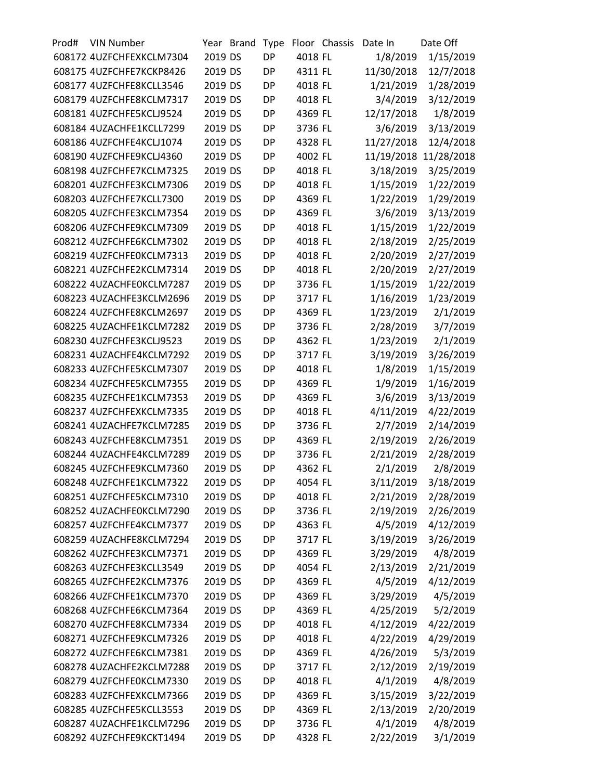| Prod# | <b>VIN Number</b>        |         | Year Brand | Type      |         | Floor Chassis | Date In    | Date Off   |
|-------|--------------------------|---------|------------|-----------|---------|---------------|------------|------------|
|       | 608172 4UZFCHFEXKCLM7304 | 2019 DS |            | <b>DP</b> | 4018 FL |               | 1/8/2019   | 1/15/2019  |
|       | 608175 4UZFCHFE7KCKP8426 | 2019 DS |            | <b>DP</b> | 4311 FL |               | 11/30/2018 | 12/7/2018  |
|       | 608177 4UZFCHFE8KCLL3546 | 2019 DS |            | DP        | 4018 FL |               | 1/21/2019  | 1/28/2019  |
|       | 608179 4UZFCHFE8KCLM7317 | 2019 DS |            | <b>DP</b> | 4018 FL |               | 3/4/2019   | 3/12/2019  |
|       | 608181 4UZFCHFE5KCLJ9524 | 2019 DS |            | <b>DP</b> | 4369 FL |               | 12/17/2018 | 1/8/2019   |
|       | 608184 4UZACHFE1KCLL7299 | 2019 DS |            | <b>DP</b> | 3736 FL |               | 3/6/2019   | 3/13/2019  |
|       | 608186 4UZFCHFE4KCLJ1074 | 2019 DS |            | <b>DP</b> | 4328 FL |               | 11/27/2018 | 12/4/2018  |
|       | 608190 4UZFCHFE9KCLJ4360 | 2019 DS |            | <b>DP</b> | 4002 FL |               | 11/19/2018 | 11/28/2018 |
|       | 608198 4UZFCHFE7KCLM7325 | 2019 DS |            | <b>DP</b> | 4018 FL |               | 3/18/2019  | 3/25/2019  |
|       | 608201 4UZFCHFE3KCLM7306 | 2019 DS |            | <b>DP</b> | 4018 FL |               | 1/15/2019  | 1/22/2019  |
|       | 608203 4UZFCHFE7KCLL7300 | 2019 DS |            | <b>DP</b> | 4369 FL |               | 1/22/2019  | 1/29/2019  |
|       | 608205 4UZFCHFE3KCLM7354 | 2019 DS |            | <b>DP</b> | 4369 FL |               | 3/6/2019   | 3/13/2019  |
|       | 608206 4UZFCHFE9KCLM7309 | 2019 DS |            | <b>DP</b> | 4018 FL |               | 1/15/2019  | 1/22/2019  |
|       | 608212 4UZFCHFE6KCLM7302 | 2019 DS |            | <b>DP</b> | 4018 FL |               | 2/18/2019  | 2/25/2019  |
|       | 608219 4UZFCHFE0KCLM7313 | 2019 DS |            | <b>DP</b> | 4018 FL |               | 2/20/2019  | 2/27/2019  |
|       | 608221 4UZFCHFE2KCLM7314 | 2019 DS |            | <b>DP</b> | 4018 FL |               | 2/20/2019  | 2/27/2019  |
|       | 608222 4UZACHFE0KCLM7287 | 2019 DS |            | <b>DP</b> | 3736 FL |               | 1/15/2019  | 1/22/2019  |
|       | 608223 4UZACHFE3KCLM2696 | 2019 DS |            | <b>DP</b> | 3717 FL |               | 1/16/2019  | 1/23/2019  |
|       | 608224 4UZFCHFE8KCLM2697 | 2019 DS |            | <b>DP</b> | 4369 FL |               | 1/23/2019  | 2/1/2019   |
|       | 608225 4UZACHFE1KCLM7282 | 2019 DS |            | <b>DP</b> | 3736 FL |               | 2/28/2019  | 3/7/2019   |
|       | 608230 4UZFCHFE3KCLJ9523 | 2019 DS |            | <b>DP</b> | 4362 FL |               | 1/23/2019  | 2/1/2019   |
|       | 608231 4UZACHFE4KCLM7292 | 2019 DS |            | <b>DP</b> | 3717 FL |               | 3/19/2019  | 3/26/2019  |
|       | 608233 4UZFCHFE5KCLM7307 | 2019 DS |            | <b>DP</b> | 4018 FL |               | 1/8/2019   | 1/15/2019  |
|       | 608234 4UZFCHFE5KCLM7355 | 2019 DS |            | <b>DP</b> | 4369 FL |               | 1/9/2019   | 1/16/2019  |
|       | 608235 4UZFCHFE1KCLM7353 | 2019 DS |            | <b>DP</b> | 4369 FL |               | 3/6/2019   | 3/13/2019  |
|       | 608237 4UZFCHFEXKCLM7335 | 2019 DS |            | <b>DP</b> | 4018 FL |               | 4/11/2019  | 4/22/2019  |
|       | 608241 4UZACHFE7KCLM7285 | 2019 DS |            | <b>DP</b> | 3736 FL |               | 2/7/2019   | 2/14/2019  |
|       | 608243 4UZFCHFE8KCLM7351 | 2019 DS |            | <b>DP</b> | 4369 FL |               | 2/19/2019  | 2/26/2019  |
|       | 608244 4UZACHFE4KCLM7289 | 2019 DS |            | <b>DP</b> | 3736 FL |               | 2/21/2019  | 2/28/2019  |
|       | 608245 4UZFCHFE9KCLM7360 | 2019 DS |            | <b>DP</b> | 4362 FL |               | 2/1/2019   | 2/8/2019   |
|       | 608248 4UZFCHFE1KCLM7322 | 2019 DS |            | DP        | 4054 FL |               | 3/11/2019  | 3/18/2019  |
|       | 608251 4UZFCHFE5KCLM7310 | 2019 DS |            | DP        | 4018 FL |               | 2/21/2019  | 2/28/2019  |
|       | 608252 4UZACHFE0KCLM7290 | 2019 DS |            | <b>DP</b> | 3736 FL |               | 2/19/2019  | 2/26/2019  |
|       | 608257 4UZFCHFE4KCLM7377 | 2019 DS |            | <b>DP</b> | 4363 FL |               | 4/5/2019   | 4/12/2019  |
|       | 608259 4UZACHFE8KCLM7294 | 2019 DS |            | DP        | 3717 FL |               | 3/19/2019  | 3/26/2019  |
|       | 608262 4UZFCHFE3KCLM7371 | 2019 DS |            | <b>DP</b> | 4369 FL |               | 3/29/2019  | 4/8/2019   |
|       | 608263 4UZFCHFE3KCLL3549 | 2019 DS |            | DP        | 4054 FL |               | 2/13/2019  | 2/21/2019  |
|       | 608265 4UZFCHFE2KCLM7376 | 2019 DS |            | DP        | 4369 FL |               | 4/5/2019   | 4/12/2019  |
|       | 608266 4UZFCHFE1KCLM7370 | 2019 DS |            | <b>DP</b> | 4369 FL |               | 3/29/2019  |            |
|       |                          | 2019 DS |            |           | 4369 FL |               |            | 4/5/2019   |
|       | 608268 4UZFCHFE6KCLM7364 |         |            | DP        |         |               | 4/25/2019  | 5/2/2019   |
|       | 608270 4UZFCHFE8KCLM7334 | 2019 DS |            | <b>DP</b> | 4018 FL |               | 4/12/2019  | 4/22/2019  |
|       | 608271 4UZFCHFE9KCLM7326 | 2019 DS |            | DP        | 4018 FL |               | 4/22/2019  | 4/29/2019  |
|       | 608272 4UZFCHFE6KCLM7381 | 2019 DS |            | DP        | 4369 FL |               | 4/26/2019  | 5/3/2019   |
|       | 608278 4UZACHFE2KCLM7288 | 2019 DS |            | <b>DP</b> | 3717 FL |               | 2/12/2019  | 2/19/2019  |
|       | 608279 4UZFCHFE0KCLM7330 | 2019 DS |            | DP        | 4018 FL |               | 4/1/2019   | 4/8/2019   |
|       | 608283 4UZFCHFEXKCLM7366 | 2019 DS |            | <b>DP</b> | 4369 FL |               | 3/15/2019  | 3/22/2019  |
|       | 608285 4UZFCHFE5KCLL3553 | 2019 DS |            | DP        | 4369 FL |               | 2/13/2019  | 2/20/2019  |
|       | 608287 4UZACHFE1KCLM7296 | 2019 DS |            | <b>DP</b> | 3736 FL |               | 4/1/2019   | 4/8/2019   |
|       | 608292 4UZFCHFE9KCKT1494 | 2019 DS |            | DP        | 4328 FL |               | 2/22/2019  | 3/1/2019   |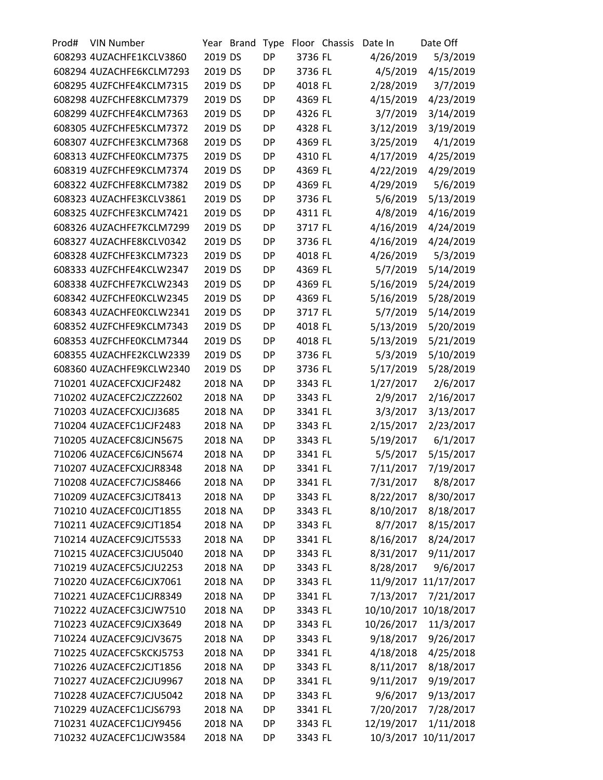| Prod# | <b>VIN Number</b>        |         | Year Brand | Type      |                    | Floor Chassis | Date In               | Date Off               |
|-------|--------------------------|---------|------------|-----------|--------------------|---------------|-----------------------|------------------------|
|       | 608293 4UZACHFE1KCLV3860 | 2019 DS |            | <b>DP</b> | 3736 FL            |               | 4/26/2019             | 5/3/2019               |
|       | 608294 4UZACHFE6KCLM7293 | 2019 DS |            | <b>DP</b> | 3736 FL            |               | 4/5/2019              | 4/15/2019              |
|       | 608295 4UZFCHFE4KCLM7315 | 2019 DS |            | DP        | 4018 FL            |               | 2/28/2019             | 3/7/2019               |
|       | 608298 4UZFCHFE8KCLM7379 | 2019 DS |            | <b>DP</b> | 4369 FL            |               | 4/15/2019             | 4/23/2019              |
|       | 608299 4UZFCHFE4KCLM7363 | 2019 DS |            | <b>DP</b> | 4326 FL            |               | 3/7/2019              | 3/14/2019              |
|       | 608305 4UZFCHFE5KCLM7372 | 2019 DS |            | <b>DP</b> | 4328 FL            |               | 3/12/2019             | 3/19/2019              |
|       | 608307 4UZFCHFE3KCLM7368 | 2019 DS |            | <b>DP</b> | 4369 FL            |               | 3/25/2019             | 4/1/2019               |
|       | 608313 4UZFCHFE0KCLM7375 | 2019 DS |            | DP        | 4310 FL            |               | 4/17/2019             | 4/25/2019              |
|       | 608319 4UZFCHFE9KCLM7374 | 2019 DS |            | <b>DP</b> | 4369 FL            |               | 4/22/2019             | 4/29/2019              |
|       | 608322 4UZFCHFE8KCLM7382 | 2019 DS |            | <b>DP</b> | 4369 FL            |               | 4/29/2019             | 5/6/2019               |
|       | 608323 4UZACHFE3KCLV3861 | 2019 DS |            | <b>DP</b> | 3736 FL            |               | 5/6/2019              | 5/13/2019              |
|       | 608325 4UZFCHFE3KCLM7421 | 2019 DS |            | <b>DP</b> | 4311 FL            |               | 4/8/2019              | 4/16/2019              |
|       | 608326 4UZACHFE7KCLM7299 | 2019 DS |            | <b>DP</b> | 3717 FL            |               | 4/16/2019             | 4/24/2019              |
|       | 608327 4UZACHFE8KCLV0342 | 2019 DS |            | <b>DP</b> | 3736 FL            |               | 4/16/2019             | 4/24/2019              |
|       | 608328 4UZFCHFE3KCLM7323 | 2019 DS |            | <b>DP</b> | 4018 FL            |               | 4/26/2019             | 5/3/2019               |
|       | 608333 4UZFCHFE4KCLW2347 | 2019 DS |            | <b>DP</b> | 4369 FL            |               | 5/7/2019              | 5/14/2019              |
|       | 608338 4UZFCHFE7KCLW2343 | 2019 DS |            | <b>DP</b> | 4369 FL            |               | 5/16/2019             | 5/24/2019              |
|       | 608342 4UZFCHFE0KCLW2345 | 2019 DS |            | DP        | 4369 FL            |               | 5/16/2019             | 5/28/2019              |
|       | 608343 4UZACHFE0KCLW2341 | 2019 DS |            | <b>DP</b> | 3717 FL            |               | 5/7/2019              | 5/14/2019              |
|       | 608352 4UZFCHFE9KCLM7343 | 2019 DS |            | <b>DP</b> | 4018 FL            |               | 5/13/2019             | 5/20/2019              |
|       | 608353 4UZFCHFE0KCLM7344 | 2019 DS |            | <b>DP</b> | 4018 FL            |               | 5/13/2019             | 5/21/2019              |
|       | 608355 4UZACHFE2KCLW2339 | 2019 DS |            | <b>DP</b> | 3736 FL            |               | 5/3/2019              | 5/10/2019              |
|       | 608360 4UZACHFE9KCLW2340 | 2019 DS |            | <b>DP</b> | 3736 FL            |               | 5/17/2019             | 5/28/2019              |
|       | 710201 4UZACEFCXJCJF2482 | 2018 NA |            | <b>DP</b> | 3343 FL            |               | 1/27/2017             | 2/6/2017               |
|       | 710202 4UZACEFC2JCZZ2602 | 2018 NA |            | <b>DP</b> | 3343 FL            |               | 2/9/2017              | 2/16/2017              |
|       | 710203 4UZACEFCXJCJJ3685 | 2018 NA |            | <b>DP</b> | 3341 FL            |               | 3/3/2017              | 3/13/2017              |
|       | 710204 4UZACEFC1JCJF2483 | 2018 NA |            | <b>DP</b> | 3343 FL            |               | 2/15/2017             | 2/23/2017              |
|       | 710205 4UZACEFC8JCJN5675 | 2018 NA |            | <b>DP</b> | 3343 FL            |               | 5/19/2017             | 6/1/2017               |
|       | 710206 4UZACEFC6JCJN5674 | 2018 NA |            | <b>DP</b> | 3341 FL            |               | 5/5/2017              | 5/15/2017              |
|       | 710207 4UZACEFCXJCJR8348 | 2018 NA |            | DP        | 3341 FL            |               | 7/11/2017             | 7/19/2017              |
|       | 710208 4UZACEFC7JCJS8466 | 2018 NA |            | DP        | 3341 FL            |               | 7/31/2017             | 8/8/2017               |
|       | 710209 4UZACEFC3JCJT8413 | 2018 NA |            | DP        | 3343 FL            |               | 8/22/2017             | 8/30/2017              |
|       | 710210 4UZACEFC0JCJT1855 | 2018 NA |            | DP        | 3343 FL            |               | 8/10/2017             | 8/18/2017              |
|       | 710211 4UZACEFC9JCJT1854 | 2018 NA |            | DP        | 3343 FL            |               |                       |                        |
|       | 710214 4UZACEFC9JCJT5533 | 2018 NA |            | DP        | 3341 FL            |               | 8/7/2017<br>8/16/2017 | 8/15/2017<br>8/24/2017 |
|       | 710215 4UZACEFC3JCJU5040 | 2018 NA |            | DP        | 3343 FL            |               | 8/31/2017             | 9/11/2017              |
|       | 710219 4UZACEFC5JCJU2253 | 2018 NA |            |           |                    |               | 8/28/2017             | 9/6/2017               |
|       | 710220 4UZACEFC6JCJX7061 | 2018 NA |            | DP        | 3343 FL<br>3343 FL |               |                       |                        |
|       |                          |         |            | DP        |                    |               |                       | 11/9/2017 11/17/2017   |
|       | 710221 4UZACEFC1JCJR8349 | 2018 NA |            | DP        | 3341 FL            |               | 7/13/2017             | 7/21/2017              |
|       | 710222 4UZACEFC3JCJW7510 | 2018 NA |            | DP        | 3343 FL            |               | 10/10/2017            | 10/18/2017             |
|       | 710223 4UZACEFC9JCJX3649 | 2018 NA |            | DP        | 3343 FL            |               | 10/26/2017            | 11/3/2017              |
|       | 710224 4UZACEFC9JCJV3675 | 2018 NA |            | DP        | 3343 FL            |               | 9/18/2017             | 9/26/2017              |
|       | 710225 4UZACEFC5KCKJ5753 | 2018 NA |            | DP        | 3341 FL            |               | 4/18/2018             | 4/25/2018              |
|       | 710226 4UZACEFC2JCJT1856 | 2018 NA |            | DP        | 3343 FL            |               | 8/11/2017             | 8/18/2017              |
|       | 710227 4UZACEFC2JCJU9967 | 2018 NA |            | DP        | 3341 FL            |               | 9/11/2017             | 9/19/2017              |
|       | 710228 4UZACEFC7JCJU5042 | 2018 NA |            | DP        | 3343 FL            |               | 9/6/2017              | 9/13/2017              |
|       | 710229 4UZACEFC1JCJS6793 | 2018 NA |            | DP        | 3341 FL            |               | 7/20/2017             | 7/28/2017              |
|       | 710231 4UZACEFC1JCJY9456 | 2018 NA |            | DP        | 3343 FL            |               | 12/19/2017            | 1/11/2018              |
|       | 710232 4UZACEFC1JCJW3584 | 2018 NA |            | DP        | 3343 FL            |               |                       | 10/3/2017 10/11/2017   |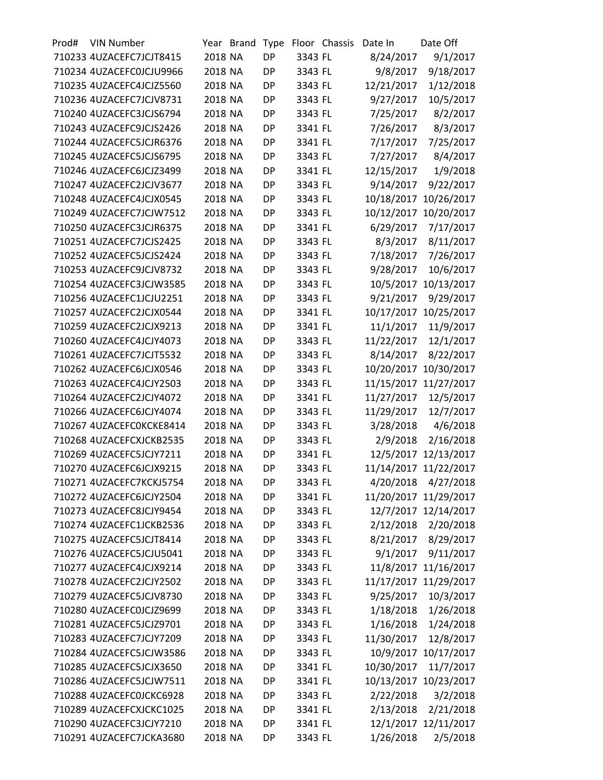| Prod# | <b>VIN Number</b>        |         | Year Brand | Type      |         | Floor Chassis | Date In    | Date Off              |
|-------|--------------------------|---------|------------|-----------|---------|---------------|------------|-----------------------|
|       | 710233 4UZACEFC7JCJT8415 | 2018 NA |            | <b>DP</b> | 3343 FL |               | 8/24/2017  | 9/1/2017              |
|       | 710234 4UZACEFC0JCJU9966 | 2018 NA |            | DP        | 3343 FL |               | 9/8/2017   | 9/18/2017             |
|       | 710235 4UZACEFC4JCJZ5560 | 2018 NA |            | DP        | 3343 FL |               | 12/21/2017 | 1/12/2018             |
|       | 710236 4UZACEFC7JCJV8731 | 2018 NA |            | <b>DP</b> | 3343 FL |               | 9/27/2017  | 10/5/2017             |
|       | 710240 4UZACEFC3JCJS6794 | 2018 NA |            | <b>DP</b> | 3343 FL |               | 7/25/2017  | 8/2/2017              |
|       | 710243 4UZACEFC9JCJS2426 | 2018 NA |            | DP        | 3341 FL |               | 7/26/2017  | 8/3/2017              |
|       | 710244 4UZACEFC5JCJR6376 | 2018 NA |            | DP        | 3341 FL |               | 7/17/2017  | 7/25/2017             |
|       | 710245 4UZACEFC5JCJS6795 | 2018 NA |            | <b>DP</b> | 3343 FL |               | 7/27/2017  | 8/4/2017              |
|       | 710246 4UZACEFC6JCJZ3499 | 2018 NA |            | <b>DP</b> | 3341 FL |               | 12/15/2017 | 1/9/2018              |
|       | 710247 4UZACEFC2JCJV3677 | 2018 NA |            | <b>DP</b> | 3343 FL |               | 9/14/2017  | 9/22/2017             |
|       | 710248 4UZACEFC4JCJX0545 | 2018 NA |            | DP        | 3343 FL |               | 10/18/2017 | 10/26/2017            |
|       | 710249 4UZACEFC7JCJW7512 | 2018 NA |            | DP        | 3343 FL |               | 10/12/2017 | 10/20/2017            |
|       | 710250 4UZACEFC3JCJR6375 | 2018 NA |            | <b>DP</b> | 3341 FL |               | 6/29/2017  | 7/17/2017             |
|       | 710251 4UZACEFC7JCJS2425 | 2018 NA |            | <b>DP</b> | 3343 FL |               | 8/3/2017   | 8/11/2017             |
|       | 710252 4UZACEFC5JCJS2424 | 2018 NA |            | <b>DP</b> | 3343 FL |               | 7/18/2017  | 7/26/2017             |
|       | 710253 4UZACEFC9JCJV8732 | 2018 NA |            | DP        | 3343 FL |               | 9/28/2017  | 10/6/2017             |
|       | 710254 4UZACEFC3JCJW3585 | 2018 NA |            | DP        | 3343 FL |               | 10/5/2017  | 10/13/2017            |
|       | 710256 4UZACEFC1JCJU2251 | 2018 NA |            | <b>DP</b> | 3343 FL |               | 9/21/2017  | 9/29/2017             |
|       | 710257 4UZACEFC2JCJX0544 | 2018 NA |            | <b>DP</b> | 3341 FL |               |            | 10/17/2017 10/25/2017 |
|       | 710259 4UZACEFC2JCJX9213 | 2018 NA |            | DP        | 3341 FL |               | 11/1/2017  | 11/9/2017             |
|       | 710260 4UZACEFC4JCJY4073 | 2018 NA |            | DP        | 3343 FL |               | 11/22/2017 | 12/1/2017             |
|       | 710261 4UZACEFC7JCJT5532 | 2018 NA |            | DP        | 3343 FL |               | 8/14/2017  | 8/22/2017             |
|       | 710262 4UZACEFC6JCJX0546 | 2018 NA |            | <b>DP</b> | 3343 FL |               | 10/20/2017 | 10/30/2017            |
|       | 710263 4UZACEFC4JCJY2503 | 2018 NA |            | <b>DP</b> | 3343 FL |               |            | 11/15/2017 11/27/2017 |
|       | 710264 4UZACEFC2JCJY4072 | 2018 NA |            | DP        | 3341 FL |               | 11/27/2017 | 12/5/2017             |
|       | 710266 4UZACEFC6JCJY4074 | 2018 NA |            | DP        | 3343 FL |               | 11/29/2017 | 12/7/2017             |
|       | 710267 4UZACEFC0KCKE8414 | 2018 NA |            | DP        | 3343 FL |               | 3/28/2018  | 4/6/2018              |
|       | 710268 4UZACEFCXJCKB2535 | 2018 NA |            | DP        | 3343 FL |               | 2/9/2018   | 2/16/2018             |
|       | 710269 4UZACEFC5JCJY7211 | 2018 NA |            | <b>DP</b> | 3341 FL |               |            | 12/5/2017 12/13/2017  |
|       | 710270 4UZACEFC6JCJX9215 | 2018 NA |            | DP        | 3343 FL |               |            | 11/14/2017 11/22/2017 |
|       | 710271 4UZACEFC7KCKJ5754 | 2018 NA |            | DP        | 3343 FL |               | 4/20/2018  | 4/27/2018             |
|       | 710272 4UZACEFC6JCJY2504 | 2018 NA |            | DP        | 3341 FL |               |            | 11/20/2017 11/29/2017 |
|       | 710273 4UZACEFC8JCJY9454 | 2018 NA |            | DP        | 3343 FL |               |            | 12/7/2017 12/14/2017  |
|       | 710274 4UZACEFC1JCKB2536 | 2018 NA |            | DP        | 3343 FL |               | 2/12/2018  | 2/20/2018             |
|       | 710275 4UZACEFC5JCJT8414 | 2018 NA |            | DP        | 3343 FL |               | 8/21/2017  | 8/29/2017             |
|       | 710276 4UZACEFC5JCJU5041 | 2018 NA |            | DP        | 3343 FL |               | 9/1/2017   | 9/11/2017             |
|       | 710277 4UZACEFC4JCJX9214 | 2018 NA |            | DP        | 3343 FL |               |            | 11/8/2017 11/16/2017  |
|       | 710278 4UZACEFC2JCJY2502 | 2018 NA |            | DP        | 3343 FL |               |            | 11/17/2017 11/29/2017 |
|       | 710279 4UZACEFC5JCJV8730 | 2018 NA |            | DP        | 3343 FL |               | 9/25/2017  | 10/3/2017             |
|       | 710280 4UZACEFC0JCJZ9699 | 2018 NA |            | DP        | 3343 FL |               | 1/18/2018  | 1/26/2018             |
|       | 710281 4UZACEFC5JCJZ9701 | 2018 NA |            | DP        | 3343 FL |               |            |                       |
|       | 710283 4UZACEFC7JCJY7209 |         |            |           |         |               | 1/16/2018  | 1/24/2018             |
|       |                          | 2018 NA |            | DP        | 3343 FL |               | 11/30/2017 | 12/8/2017             |
|       | 710284 4UZACEFC5JCJW3586 | 2018 NA |            | DP        | 3343 FL |               |            | 10/9/2017 10/17/2017  |
|       | 710285 4UZACEFC5JCJX3650 | 2018 NA |            | DP        | 3341 FL |               | 10/30/2017 | 11/7/2017             |
|       | 710286 4UZACEFC5JCJW7511 | 2018 NA |            | DP        | 3341 FL |               |            | 10/13/2017 10/23/2017 |
|       | 710288 4UZACEFC0JCKC6928 | 2018 NA |            | DP        | 3343 FL |               | 2/22/2018  | 3/2/2018              |
|       | 710289 4UZACEFCXJCKC1025 | 2018 NA |            | DP        | 3341 FL |               | 2/13/2018  | 2/21/2018             |
|       | 710290 4UZACEFC3JCJY7210 | 2018 NA |            | DP        | 3341 FL |               |            | 12/1/2017 12/11/2017  |
|       | 710291 4UZACEFC7JCKA3680 | 2018 NA |            | DP        | 3343 FL |               | 1/26/2018  | 2/5/2018              |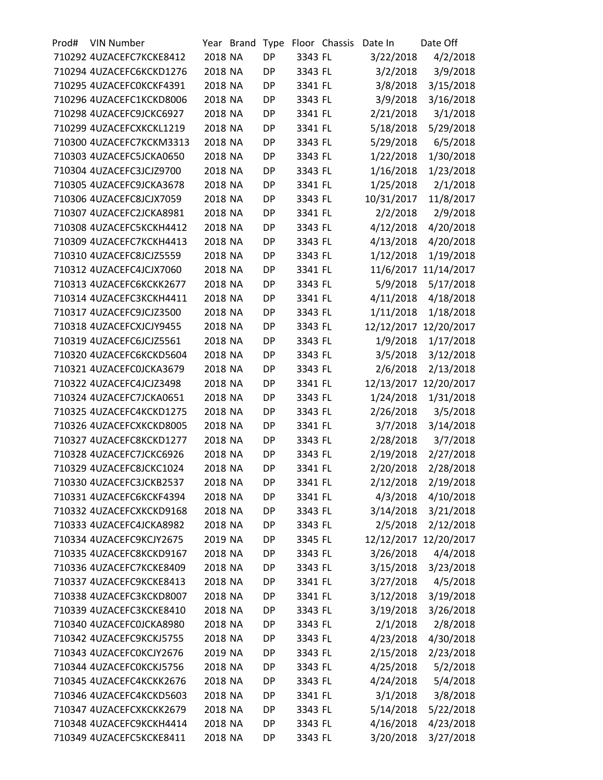| Prod# | <b>VIN Number</b>        |         | Year Brand | <b>Type</b> |                    | Floor Chassis | Date In    | Date Off              |
|-------|--------------------------|---------|------------|-------------|--------------------|---------------|------------|-----------------------|
|       | 710292 4UZACEFC7KCKE8412 | 2018 NA |            | <b>DP</b>   | 3343 FL            |               | 3/22/2018  | 4/2/2018              |
|       | 710294 4UZACEFC6KCKD1276 | 2018 NA |            | <b>DP</b>   | 3343 FL            |               | 3/2/2018   | 3/9/2018              |
|       | 710295 4UZACEFC0KCKF4391 | 2018 NA |            | DP          | 3341 FL            |               | 3/8/2018   | 3/15/2018             |
|       | 710296 4UZACEFC1KCKD8006 | 2018 NA |            | <b>DP</b>   | 3343 FL            |               | 3/9/2018   | 3/16/2018             |
|       | 710298 4UZACEFC9JCKC6927 | 2018 NA |            | <b>DP</b>   | 3341 FL            |               | 2/21/2018  | 3/1/2018              |
|       | 710299 4UZACEFCXKCKL1219 | 2018 NA |            | <b>DP</b>   | 3341 FL            |               | 5/18/2018  | 5/29/2018             |
|       | 710300 4UZACEFC7KCKM3313 | 2018 NA |            | <b>DP</b>   | 3343 FL            |               | 5/29/2018  | 6/5/2018              |
|       | 710303 4UZACEFC5JCKA0650 | 2018 NA |            | DP          | 3343 FL            |               | 1/22/2018  | 1/30/2018             |
|       | 710304 4UZACEFC3JCJZ9700 | 2018 NA |            | <b>DP</b>   | 3343 FL            |               | 1/16/2018  | 1/23/2018             |
|       | 710305 4UZACEFC9JCKA3678 | 2018 NA |            | <b>DP</b>   | 3341 FL            |               | 1/25/2018  | 2/1/2018              |
|       | 710306 4UZACEFC8JCJX7059 | 2018 NA |            | <b>DP</b>   | 3343 FL            |               | 10/31/2017 | 11/8/2017             |
|       | 710307 4UZACEFC2JCKA8981 | 2018 NA |            | <b>DP</b>   | 3341 FL            |               | 2/2/2018   | 2/9/2018              |
|       | 710308 4UZACEFC5KCKH4412 | 2018 NA |            | DP          | 3343 FL            |               | 4/12/2018  | 4/20/2018             |
|       | 710309 4UZACEFC7KCKH4413 | 2018 NA |            | <b>DP</b>   | 3343 FL            |               | 4/13/2018  | 4/20/2018             |
|       | 710310 4UZACEFC8JCJZ5559 | 2018 NA |            | <b>DP</b>   | 3343 FL            |               | 1/12/2018  | 1/19/2018             |
|       | 710312 4UZACEFC4JCJX7060 | 2018 NA |            | <b>DP</b>   | 3341 FL            |               | 11/6/2017  | 11/14/2017            |
|       | 710313 4UZACEFC6KCKK2677 | 2018 NA |            | <b>DP</b>   | 3343 FL            |               | 5/9/2018   | 5/17/2018             |
|       | 710314 4UZACEFC3KCKH4411 | 2018 NA |            | DP          | 3341 FL            |               | 4/11/2018  | 4/18/2018             |
|       | 710317 4UZACEFC9JCJZ3500 | 2018 NA |            | <b>DP</b>   | 3343 FL            |               | 1/11/2018  | 1/18/2018             |
|       | 710318 4UZACEFCXJCJY9455 | 2018 NA |            | <b>DP</b>   | 3343 FL            |               | 12/12/2017 | 12/20/2017            |
|       | 710319 4UZACEFC6JCJZ5561 | 2018 NA |            | <b>DP</b>   | 3343 FL            |               | 1/9/2018   | 1/17/2018             |
|       | 710320 4UZACEFC6KCKD5604 | 2018 NA |            | <b>DP</b>   | 3343 FL            |               | 3/5/2018   | 3/12/2018             |
|       | 710321 4UZACEFC0JCKA3679 | 2018 NA |            | DP          | 3343 FL            |               | 2/6/2018   | 2/13/2018             |
|       | 710322 4UZACEFC4JCJZ3498 | 2018 NA |            | <b>DP</b>   | 3341 FL            |               |            | 12/13/2017 12/20/2017 |
|       | 710324 4UZACEFC7JCKA0651 | 2018 NA |            | <b>DP</b>   | 3343 FL            |               | 1/24/2018  | 1/31/2018             |
|       | 710325 4UZACEFC4KCKD1275 | 2018 NA |            | DP          | 3343 FL            |               | 2/26/2018  | 3/5/2018              |
|       | 710326 4UZACEFCXKCKD8005 | 2018 NA |            | <b>DP</b>   | 3341 FL            |               | 3/7/2018   | 3/14/2018             |
|       | 710327 4UZACEFC8KCKD1277 | 2018 NA |            | DP          | 3343 FL            |               | 2/28/2018  | 3/7/2018              |
|       | 710328 4UZACEFC7JCKC6926 | 2018 NA |            | <b>DP</b>   | 3343 FL            |               | 2/19/2018  |                       |
|       | 710329 4UZACEFC8JCKC1024 | 2018 NA |            | <b>DP</b>   | 3341 FL            |               | 2/20/2018  | 2/27/2018             |
|       | 710330 4UZACEFC3JCKB2537 | 2018 NA |            | <b>DP</b>   | 3341 FL            |               | 2/12/2018  | 2/28/2018             |
|       | 710331 4UZACEFC6KCKF4394 |         |            |             |                    |               |            | 2/19/2018             |
|       | 710332 4UZACEFCXKCKD9168 | 2018 NA |            | DP          | 3341 FL<br>3343 FL |               | 4/3/2018   | 4/10/2018             |
|       |                          | 2018 NA |            | DP          |                    |               | 3/14/2018  | 3/21/2018             |
|       | 710333 4UZACEFC4JCKA8982 | 2018 NA |            | <b>DP</b>   | 3343 FL            |               | 2/5/2018   | 2/12/2018             |
|       | 710334 4UZACEFC9KCJY2675 | 2019 NA |            | DP          | 3345 FL            |               |            | 12/12/2017 12/20/2017 |
|       | 710335 4UZACEFC8KCKD9167 | 2018 NA |            | DP          | 3343 FL            |               | 3/26/2018  | 4/4/2018              |
|       | 710336 4UZACEFC7KCKE8409 | 2018 NA |            | DP          | 3343 FL            |               | 3/15/2018  | 3/23/2018             |
|       | 710337 4UZACEFC9KCKE8413 | 2018 NA |            | DP          | 3341 FL            |               | 3/27/2018  | 4/5/2018              |
|       | 710338 4UZACEFC3KCKD8007 | 2018 NA |            | <b>DP</b>   | 3341 FL            |               | 3/12/2018  | 3/19/2018             |
|       | 710339 4UZACEFC3KCKE8410 | 2018 NA |            | DP          | 3343 FL            |               | 3/19/2018  | 3/26/2018             |
|       | 710340 4UZACEFC0JCKA8980 | 2018 NA |            | DP          | 3343 FL            |               | 2/1/2018   | 2/8/2018              |
|       | 710342 4UZACEFC9KCKJ5755 | 2018 NA |            | DP          | 3343 FL            |               | 4/23/2018  | 4/30/2018             |
|       | 710343 4UZACEFC0KCJY2676 | 2019 NA |            | DP          | 3343 FL            |               | 2/15/2018  | 2/23/2018             |
|       | 710344 4UZACEFC0KCKJ5756 | 2018 NA |            | <b>DP</b>   | 3343 FL            |               | 4/25/2018  | 5/2/2018              |
|       | 710345 4UZACEFC4KCKK2676 | 2018 NA |            | DP          | 3343 FL            |               | 4/24/2018  | 5/4/2018              |
|       | 710346 4UZACEFC4KCKD5603 | 2018 NA |            | DP          | 3341 FL            |               | 3/1/2018   | 3/8/2018              |
|       | 710347 4UZACEFCXKCKK2679 | 2018 NA |            | DP          | 3343 FL            |               | 5/14/2018  | 5/22/2018             |
|       | 710348 4UZACEFC9KCKH4414 | 2018 NA |            | DP          | 3343 FL            |               | 4/16/2018  | 4/23/2018             |
|       | 710349 4UZACEFC5KCKE8411 | 2018 NA |            | DP          | 3343 FL            |               | 3/20/2018  | 3/27/2018             |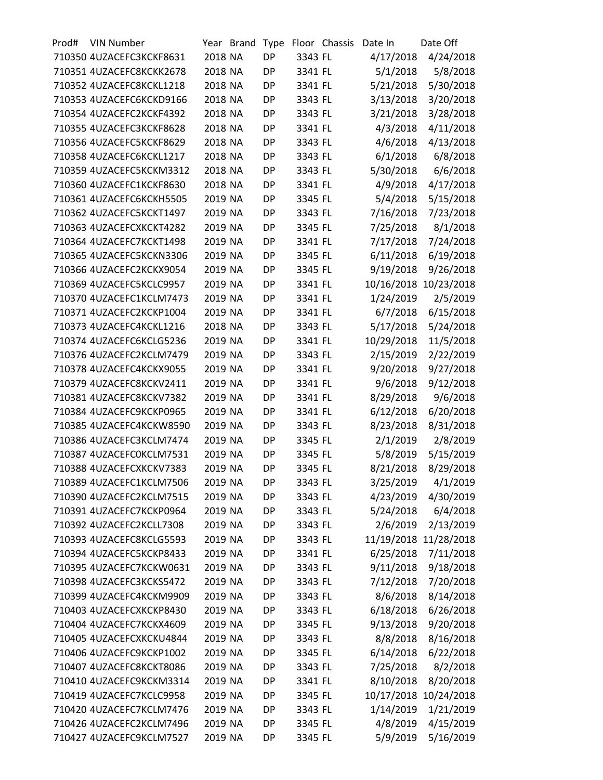| Prod# | <b>VIN Number</b>        |         | Year Brand | Type      |         | Floor Chassis | Date In    | Date Off               |
|-------|--------------------------|---------|------------|-----------|---------|---------------|------------|------------------------|
|       | 710350 4UZACEFC3KCKF8631 | 2018 NA |            | <b>DP</b> | 3343 FL |               | 4/17/2018  | 4/24/2018              |
|       | 710351 4UZACEFC8KCKK2678 | 2018 NA |            | <b>DP</b> | 3341 FL |               | 5/1/2018   | 5/8/2018               |
|       | 710352 4UZACEFC8KCKL1218 | 2018 NA |            | <b>DP</b> | 3341 FL |               | 5/21/2018  | 5/30/2018              |
|       | 710353 4UZACEFC6KCKD9166 | 2018 NA |            | <b>DP</b> | 3343 FL |               | 3/13/2018  | 3/20/2018              |
|       | 710354 4UZACEFC2KCKF4392 | 2018 NA |            | <b>DP</b> | 3343 FL |               | 3/21/2018  | 3/28/2018              |
|       | 710355 4UZACEFC3KCKF8628 | 2018 NA |            | <b>DP</b> | 3341 FL |               | 4/3/2018   | 4/11/2018              |
|       | 710356 4UZACEFC5KCKF8629 | 2018 NA |            | <b>DP</b> | 3343 FL |               | 4/6/2018   | 4/13/2018              |
|       | 710358 4UZACEFC6KCKL1217 | 2018 NA |            | <b>DP</b> | 3343 FL |               | 6/1/2018   | 6/8/2018               |
|       | 710359 4UZACEFC5KCKM3312 | 2018 NA |            | <b>DP</b> | 3343 FL |               | 5/30/2018  | 6/6/2018               |
|       | 710360 4UZACEFC1KCKF8630 | 2018 NA |            | <b>DP</b> | 3341 FL |               | 4/9/2018   | 4/17/2018              |
|       | 710361 4UZACEFC6KCKH5505 | 2019 NA |            | <b>DP</b> | 3345 FL |               | 5/4/2018   | 5/15/2018              |
|       | 710362 4UZACEFC5KCKT1497 | 2019 NA |            | <b>DP</b> | 3343 FL |               | 7/16/2018  | 7/23/2018              |
|       | 710363 4UZACEFCXKCKT4282 | 2019 NA |            | <b>DP</b> | 3345 FL |               | 7/25/2018  | 8/1/2018               |
|       | 710364 4UZACEFC7KCKT1498 | 2019 NA |            | <b>DP</b> | 3341 FL |               | 7/17/2018  | 7/24/2018              |
|       | 710365 4UZACEFC5KCKN3306 | 2019 NA |            | <b>DP</b> | 3345 FL |               | 6/11/2018  | 6/19/2018              |
|       | 710366 4UZACEFC2KCKX9054 | 2019 NA |            | <b>DP</b> | 3345 FL |               | 9/19/2018  | 9/26/2018              |
|       | 710369 4UZACEFC5KCLC9957 | 2019 NA |            | <b>DP</b> | 3341 FL |               | 10/16/2018 | 10/23/2018             |
|       | 710370 4UZACEFC1KCLM7473 | 2019 NA |            | <b>DP</b> | 3341 FL |               | 1/24/2019  | 2/5/2019               |
|       | 710371 4UZACEFC2KCKP1004 | 2019 NA |            | <b>DP</b> | 3341 FL |               | 6/7/2018   | 6/15/2018              |
|       | 710373 4UZACEFC4KCKL1216 | 2018 NA |            | <b>DP</b> | 3343 FL |               | 5/17/2018  | 5/24/2018              |
|       | 710374 4UZACEFC6KCLG5236 | 2019 NA |            | <b>DP</b> | 3341 FL |               | 10/29/2018 | 11/5/2018              |
|       | 710376 4UZACEFC2KCLM7479 | 2019 NA |            | <b>DP</b> | 3343 FL |               | 2/15/2019  | 2/22/2019              |
|       | 710378 4UZACEFC4KCKX9055 | 2019 NA |            | <b>DP</b> | 3341 FL |               | 9/20/2018  | 9/27/2018              |
|       | 710379 4UZACEFC8KCKV2411 | 2019 NA |            | <b>DP</b> | 3341 FL |               | 9/6/2018   | 9/12/2018              |
|       | 710381 4UZACEFC8KCKV7382 | 2019 NA |            | <b>DP</b> | 3341 FL |               | 8/29/2018  | 9/6/2018               |
|       | 710384 4UZACEFC9KCKP0965 | 2019 NA |            | <b>DP</b> | 3341 FL |               | 6/12/2018  | 6/20/2018              |
|       | 710385 4UZACEFC4KCKW8590 | 2019 NA |            | <b>DP</b> | 3343 FL |               | 8/23/2018  | 8/31/2018              |
|       | 710386 4UZACEFC3KCLM7474 | 2019 NA |            | <b>DP</b> | 3345 FL |               | 2/1/2019   | 2/8/2019               |
|       | 710387 4UZACEFC0KCLM7531 | 2019 NA |            | <b>DP</b> | 3345 FL |               | 5/8/2019   | 5/15/2019              |
|       | 710388 4UZACEFCXKCKV7383 | 2019 NA |            | <b>DP</b> | 3345 FL |               | 8/21/2018  | 8/29/2018              |
|       | 710389 4UZACEFC1KCLM7506 | 2019 NA |            | DP        | 3343 FL |               | 3/25/2019  | 4/1/2019               |
|       | 710390 4UZACEFC2KCLM7515 | 2019 NA |            | DP        | 3343 FL |               | 4/23/2019  | 4/30/2019              |
|       | 710391 4UZACEFC7KCKP0964 | 2019 NA |            | DP        | 3343 FL |               | 5/24/2018  | 6/4/2018               |
|       | 710392 4UZACEFC2KCLL7308 | 2019 NA |            | DP        | 3343 FL |               | 2/6/2019   | 2/13/2019              |
|       | 710393 4UZACEFC8KCLG5593 | 2019 NA |            | DP        | 3343 FL |               |            | 11/19/2018 11/28/2018  |
|       | 710394 4UZACEFC5KCKP8433 | 2019 NA |            | DP        | 3341 FL |               | 6/25/2018  | 7/11/2018              |
|       | 710395 4UZACEFC7KCKW0631 | 2019 NA |            | DP        |         |               | 9/11/2018  |                        |
|       | 710398 4UZACEFC3KCKS5472 | 2019 NA |            |           | 3343 FL |               |            | 9/18/2018<br>7/20/2018 |
|       |                          |         |            | DP        | 3343 FL |               | 7/12/2018  |                        |
|       | 710399 4UZACEFC4KCKM9909 | 2019 NA |            | DP        | 3343 FL |               | 8/6/2018   | 8/14/2018              |
|       | 710403 4UZACEFCXKCKP8430 | 2019 NA |            | DP        | 3343 FL |               | 6/18/2018  | 6/26/2018              |
|       | 710404 4UZACEFC7KCKX4609 | 2019 NA |            | DP        | 3345 FL |               | 9/13/2018  | 9/20/2018              |
|       | 710405 4UZACEFCXKCKU4844 | 2019 NA |            | DP        | 3343 FL |               | 8/8/2018   | 8/16/2018              |
|       | 710406 4UZACEFC9KCKP1002 | 2019 NA |            | DP        | 3345 FL |               | 6/14/2018  | 6/22/2018              |
|       | 710407 4UZACEFC8KCKT8086 | 2019 NA |            | DP        | 3343 FL |               | 7/25/2018  | 8/2/2018               |
|       | 710410 4UZACEFC9KCKM3314 | 2019 NA |            | DP        | 3341 FL |               | 8/10/2018  | 8/20/2018              |
|       | 710419 4UZACEFC7KCLC9958 | 2019 NA |            | DP        | 3345 FL |               |            | 10/17/2018 10/24/2018  |
|       | 710420 4UZACEFC7KCLM7476 | 2019 NA |            | DP        | 3343 FL |               | 1/14/2019  | 1/21/2019              |
|       | 710426 4UZACEFC2KCLM7496 | 2019 NA |            | <b>DP</b> | 3345 FL |               | 4/8/2019   | 4/15/2019              |
|       | 710427 4UZACEFC9KCLM7527 | 2019 NA |            | DP        | 3345 FL |               | 5/9/2019   | 5/16/2019              |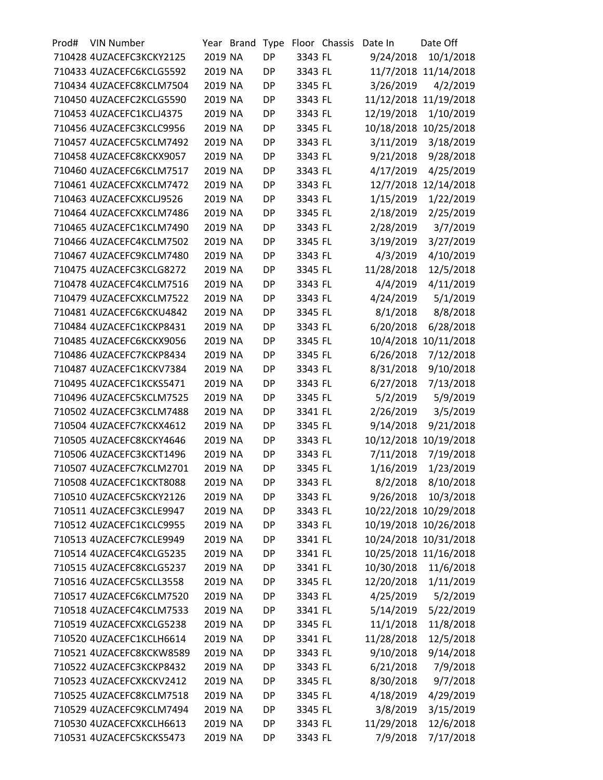| Prod# | <b>VIN Number</b>        | Year    | <b>Brand</b> | <b>Type</b> |         | Floor Chassis | Date In    | Date Off              |
|-------|--------------------------|---------|--------------|-------------|---------|---------------|------------|-----------------------|
|       | 710428 4UZACEFC3KCKY2125 | 2019 NA |              | <b>DP</b>   | 3343 FL |               | 9/24/2018  | 10/1/2018             |
|       | 710433 4UZACEFC6KCLG5592 | 2019 NA |              | DP          | 3343 FL |               |            | 11/7/2018 11/14/2018  |
|       | 710434 4UZACEFC8KCLM7504 | 2019 NA |              | DP          | 3345 FL |               | 3/26/2019  | 4/2/2019              |
|       | 710450 4UZACEFC2KCLG5590 | 2019 NA |              | <b>DP</b>   | 3343 FL |               | 11/12/2018 | 11/19/2018            |
|       | 710453 4UZACEFC1KCLJ4375 | 2019 NA |              | DP          | 3343 FL |               | 12/19/2018 | 1/10/2019             |
|       | 710456 4UZACEFC3KCLC9956 | 2019 NA |              | <b>DP</b>   | 3345 FL |               |            | 10/18/2018 10/25/2018 |
|       | 710457 4UZACEFC5KCLM7492 | 2019 NA |              | DP          | 3343 FL |               | 3/11/2019  | 3/18/2019             |
|       | 710458 4UZACEFC8KCKX9057 | 2019 NA |              | <b>DP</b>   | 3343 FL |               | 9/21/2018  | 9/28/2018             |
|       | 710460 4UZACEFC6KCLM7517 | 2019 NA |              | <b>DP</b>   | 3343 FL |               | 4/17/2019  | 4/25/2019             |
|       | 710461 4UZACEFCXKCLM7472 | 2019 NA |              | DP          | 3343 FL |               | 12/7/2018  | 12/14/2018            |
|       | 710463 4UZACEFCXKCLJ9526 | 2019 NA |              | <b>DP</b>   | 3343 FL |               | 1/15/2019  | 1/22/2019             |
|       | 710464 4UZACEFCXKCLM7486 | 2019 NA |              | <b>DP</b>   | 3345 FL |               | 2/18/2019  | 2/25/2019             |
|       | 710465 4UZACEFC1KCLM7490 | 2019 NA |              | <b>DP</b>   | 3343 FL |               | 2/28/2019  | 3/7/2019              |
|       | 710466 4UZACEFC4KCLM7502 | 2019 NA |              | <b>DP</b>   | 3345 FL |               | 3/19/2019  | 3/27/2019             |
|       | 710467 4UZACEFC9KCLM7480 | 2019 NA |              | DP          | 3343 FL |               | 4/3/2019   | 4/10/2019             |
|       | 710475 4UZACEFC3KCLG8272 | 2019 NA |              | <b>DP</b>   | 3345 FL |               | 11/28/2018 | 12/5/2018             |
|       | 710478 4UZACEFC4KCLM7516 | 2019 NA |              | <b>DP</b>   | 3343 FL |               | 4/4/2019   | 4/11/2019             |
|       | 710479 4UZACEFCXKCLM7522 | 2019 NA |              | <b>DP</b>   | 3343 FL |               | 4/24/2019  | 5/1/2019              |
|       | 710481 4UZACEFC6KCKU4842 | 2019 NA |              | <b>DP</b>   | 3345 FL |               | 8/1/2018   | 8/8/2018              |
|       | 710484 4UZACEFC1KCKP8431 | 2019 NA |              | DP          | 3343 FL |               | 6/20/2018  | 6/28/2018             |
|       | 710485 4UZACEFC6KCKX9056 | 2019 NA |              | <b>DP</b>   | 3345 FL |               |            | 10/4/2018 10/11/2018  |
|       | 710486 4UZACEFC7KCKP8434 | 2019 NA |              | <b>DP</b>   | 3345 FL |               | 6/26/2018  | 7/12/2018             |
|       | 710487 4UZACEFC1KCKV7384 | 2019 NA |              | <b>DP</b>   | 3343 FL |               | 8/31/2018  | 9/10/2018             |
|       | 710495 4UZACEFC1KCKS5471 | 2019 NA |              | <b>DP</b>   | 3343 FL |               | 6/27/2018  | 7/13/2018             |
|       | 710496 4UZACEFC5KCLM7525 | 2019 NA |              | DP          | 3345 FL |               | 5/2/2019   | 5/9/2019              |
|       | 710502 4UZACEFC3KCLM7488 | 2019 NA |              | <b>DP</b>   | 3341 FL |               | 2/26/2019  | 3/5/2019              |
|       | 710504 4UZACEFC7KCKX4612 | 2019 NA |              | DP          | 3345 FL |               | 9/14/2018  | 9/21/2018             |
|       | 710505 4UZACEFC8KCKY4646 | 2019 NA |              | DP          | 3343 FL |               | 10/12/2018 | 10/19/2018            |
|       | 710506 4UZACEFC3KCKT1496 | 2019 NA |              | <b>DP</b>   | 3343 FL |               | 7/11/2018  | 7/19/2018             |
|       | 710507 4UZACEFC7KCLM2701 | 2019 NA |              | DP          | 3345 FL |               | 1/16/2019  | 1/23/2019             |
|       | 710508 4UZACEFC1KCKT8088 | 2019 NA |              | DP          | 3343 FL |               | 8/2/2018   | 8/10/2018             |
|       | 710510 4UZACEFC5KCKY2126 | 2019 NA |              | DP          | 3343 FL |               | 9/26/2018  | 10/3/2018             |
|       | 710511 4UZACEFC3KCLE9947 | 2019 NA |              | DP          | 3343 FL |               |            | 10/22/2018 10/29/2018 |
|       | 710512 4UZACEFC1KCLC9955 | 2019 NA |              | <b>DP</b>   | 3343 FL |               |            | 10/19/2018 10/26/2018 |
|       | 710513 4UZACEFC7KCLE9949 | 2019 NA |              | DP          | 3341 FL |               |            | 10/24/2018 10/31/2018 |
|       | 710514 4UZACEFC4KCLG5235 | 2019 NA |              | DP          | 3341 FL |               |            | 10/25/2018 11/16/2018 |
|       | 710515 4UZACEFC8KCLG5237 | 2019 NA |              | DP          | 3341 FL |               | 10/30/2018 | 11/6/2018             |
|       | 710516 4UZACEFC5KCLL3558 | 2019 NA |              | DP          |         |               | 12/20/2018 |                       |
|       |                          |         |              |             | 3345 FL |               |            | 1/11/2019             |
|       | 710517 4UZACEFC6KCLM7520 | 2019 NA |              | <b>DP</b>   | 3343 FL |               | 4/25/2019  | 5/2/2019              |
|       | 710518 4UZACEFC4KCLM7533 | 2019 NA |              | DP          | 3341 FL |               | 5/14/2019  | 5/22/2019             |
|       | 710519 4UZACEFCXKCLG5238 | 2019 NA |              | DP          | 3345 FL |               | 11/1/2018  | 11/8/2018             |
|       | 710520 4UZACEFC1KCLH6614 | 2019 NA |              | DP          | 3341 FL |               | 11/28/2018 | 12/5/2018             |
|       | 710521 4UZACEFC8KCKW8589 | 2019 NA |              | DP          | 3343 FL |               | 9/10/2018  | 9/14/2018             |
|       | 710522 4UZACEFC3KCKP8432 | 2019 NA |              | <b>DP</b>   | 3343 FL |               | 6/21/2018  | 7/9/2018              |
|       | 710523 4UZACEFCXKCKV2412 | 2019 NA |              | DP          | 3345 FL |               | 8/30/2018  | 9/7/2018              |
|       | 710525 4UZACEFC8KCLM7518 | 2019 NA |              | DP          | 3345 FL |               | 4/18/2019  | 4/29/2019             |
|       | 710529 4UZACEFC9KCLM7494 | 2019 NA |              | DP          | 3345 FL |               | 3/8/2019   | 3/15/2019             |
|       | 710530 4UZACEFCXKCLH6613 | 2019 NA |              | DP          | 3343 FL |               | 11/29/2018 | 12/6/2018             |
|       | 710531 4UZACEFC5KCKS5473 | 2019 NA |              | DP          | 3343 FL |               | 7/9/2018   | 7/17/2018             |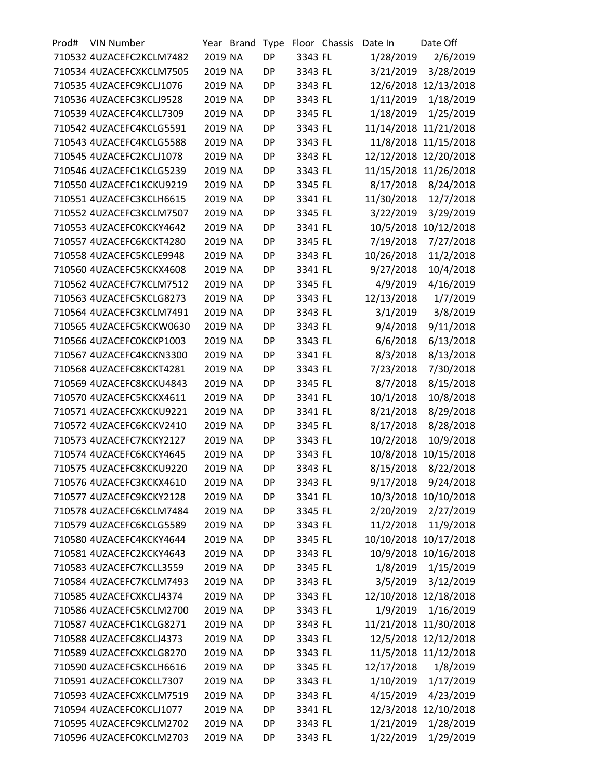| Prod# | <b>VIN Number</b>        |         | Year Brand | Type      |         | Floor Chassis | Date In    | Date Off              |
|-------|--------------------------|---------|------------|-----------|---------|---------------|------------|-----------------------|
|       | 710532 4UZACEFC2KCLM7482 | 2019 NA |            | <b>DP</b> | 3343 FL |               | 1/28/2019  | 2/6/2019              |
|       | 710534 4UZACEFCXKCLM7505 | 2019 NA |            | DP        | 3343 FL |               | 3/21/2019  | 3/28/2019             |
|       | 710535 4UZACEFC9KCLJ1076 | 2019 NA |            | DP        | 3343 FL |               |            | 12/6/2018 12/13/2018  |
|       | 710536 4UZACEFC3KCLJ9528 | 2019 NA |            | <b>DP</b> | 3343 FL |               | 1/11/2019  | 1/18/2019             |
|       | 710539 4UZACEFC4KCLL7309 | 2019 NA |            | DP        | 3345 FL |               | 1/18/2019  | 1/25/2019             |
|       | 710542 4UZACEFC4KCLG5591 | 2019 NA |            | <b>DP</b> | 3343 FL |               |            | 11/14/2018 11/21/2018 |
|       | 710543 4UZACEFC4KCLG5588 | 2019 NA |            | DP        | 3343 FL |               |            | 11/8/2018 11/15/2018  |
|       | 710545 4UZACEFC2KCLJ1078 | 2019 NA |            | <b>DP</b> | 3343 FL |               | 12/12/2018 | 12/20/2018            |
|       | 710546 4UZACEFC1KCLG5239 | 2019 NA |            | <b>DP</b> | 3343 FL |               |            | 11/15/2018 11/26/2018 |
|       | 710550 4UZACEFC1KCKU9219 | 2019 NA |            | DP        | 3345 FL |               | 8/17/2018  | 8/24/2018             |
|       | 710551 4UZACEFC3KCLH6615 | 2019 NA |            | <b>DP</b> | 3341 FL |               | 11/30/2018 | 12/7/2018             |
|       | 710552 4UZACEFC3KCLM7507 | 2019 NA |            | DP        | 3345 FL |               | 3/22/2019  | 3/29/2019             |
|       | 710553 4UZACEFC0KCKY4642 | 2019 NA |            | <b>DP</b> | 3341 FL |               | 10/5/2018  | 10/12/2018            |
|       | 710557 4UZACEFC6KCKT4280 | 2019 NA |            | <b>DP</b> | 3345 FL |               | 7/19/2018  | 7/27/2018             |
|       | 710558 4UZACEFC5KCLE9948 | 2019 NA |            | DP        | 3343 FL |               | 10/26/2018 | 11/2/2018             |
|       | 710560 4UZACEFC5KCKX4608 | 2019 NA |            | <b>DP</b> | 3341 FL |               | 9/27/2018  | 10/4/2018             |
|       | 710562 4UZACEFC7KCLM7512 | 2019 NA |            | DP        | 3345 FL |               | 4/9/2019   | 4/16/2019             |
|       | 710563 4UZACEFC5KCLG8273 | 2019 NA |            | <b>DP</b> | 3343 FL |               | 12/13/2018 | 1/7/2019              |
|       | 710564 4UZACEFC3KCLM7491 | 2019 NA |            | <b>DP</b> | 3343 FL |               | 3/1/2019   | 3/8/2019              |
|       | 710565 4UZACEFC5KCKW0630 | 2019 NA |            | DP        | 3343 FL |               | 9/4/2018   | 9/11/2018             |
|       | 710566 4UZACEFC0KCKP1003 | 2019 NA |            | <b>DP</b> | 3343 FL |               | 6/6/2018   | 6/13/2018             |
|       | 710567 4UZACEFC4KCKN3300 | 2019 NA |            | DP        | 3341 FL |               | 8/3/2018   | 8/13/2018             |
|       | 710568 4UZACEFC8KCKT4281 | 2019 NA |            | <b>DP</b> | 3343 FL |               | 7/23/2018  | 7/30/2018             |
|       | 710569 4UZACEFC8KCKU4843 | 2019 NA |            | <b>DP</b> | 3345 FL |               | 8/7/2018   | 8/15/2018             |
|       | 710570 4UZACEFC5KCKX4611 | 2019 NA |            | DP        | 3341 FL |               | 10/1/2018  | 10/8/2018             |
|       | 710571 4UZACEFCXKCKU9221 | 2019 NA |            | <b>DP</b> | 3341 FL |               | 8/21/2018  | 8/29/2018             |
|       | 710572 4UZACEFC6KCKV2410 | 2019 NA |            | DP        | 3345 FL |               | 8/17/2018  | 8/28/2018             |
|       | 710573 4UZACEFC7KCKY2127 | 2019 NA |            | DP        | 3343 FL |               | 10/2/2018  | 10/9/2018             |
|       | 710574 4UZACEFC6KCKY4645 | 2019 NA |            | DP        | 3343 FL |               |            | 10/8/2018 10/15/2018  |
|       | 710575 4UZACEFC8KCKU9220 | 2019 NA |            | DP        | 3343 FL |               | 8/15/2018  | 8/22/2018             |
|       | 710576 4UZACEFC3KCKX4610 | 2019 NA |            | DP        | 3343 FL |               | 9/17/2018  | 9/24/2018             |
|       | 710577 4UZACEFC9KCKY2128 | 2019 NA |            | DP        | 3341 FL |               |            | 10/3/2018 10/10/2018  |
|       | 710578 4UZACEFC6KCLM7484 | 2019 NA |            | DP        | 3345 FL |               | 2/20/2019  | 2/27/2019             |
|       | 710579 4UZACEFC6KCLG5589 | 2019 NA |            | <b>DP</b> | 3343 FL |               | 11/2/2018  | 11/9/2018             |
|       | 710580 4UZACEFC4KCKY4644 | 2019 NA |            | DP        | 3345 FL |               |            | 10/10/2018 10/17/2018 |
|       | 710581 4UZACEFC2KCKY4643 | 2019 NA |            | DP        | 3343 FL |               |            | 10/9/2018 10/16/2018  |
|       | 710583 4UZACEFC7KCLL3559 | 2019 NA |            | DP        | 3345 FL |               | 1/8/2019   | 1/15/2019             |
|       | 710584 4UZACEFC7KCLM7493 | 2019 NA |            | DP        | 3343 FL |               | 3/5/2019   | 3/12/2019             |
|       | 710585 4UZACEFCXKCLJ4374 | 2019 NA |            | <b>DP</b> | 3343 FL |               |            | 12/10/2018 12/18/2018 |
|       | 710586 4UZACEFC5KCLM2700 | 2019 NA |            | DP        |         |               | 1/9/2019   | 1/16/2019             |
|       |                          | 2019 NA |            |           | 3343 FL |               |            |                       |
|       | 710587 4UZACEFC1KCLG8271 |         |            | DP        | 3343 FL |               |            | 11/21/2018 11/30/2018 |
|       | 710588 4UZACEFC8KCLJ4373 | 2019 NA |            | DP        | 3343 FL |               |            | 12/5/2018 12/12/2018  |
|       | 710589 4UZACEFCXKCLG8270 | 2019 NA |            | DP        | 3343 FL |               |            | 11/5/2018 11/12/2018  |
|       | 710590 4UZACEFC5KCLH6616 | 2019 NA |            | <b>DP</b> | 3345 FL |               | 12/17/2018 | 1/8/2019              |
|       | 710591 4UZACEFC0KCLL7307 | 2019 NA |            | DP        | 3343 FL |               | 1/10/2019  | 1/17/2019             |
|       | 710593 4UZACEFCXKCLM7519 | 2019 NA |            | DP        | 3343 FL |               | 4/15/2019  | 4/23/2019             |
|       | 710594 4UZACEFC0KCLJ1077 | 2019 NA |            | DP        | 3341 FL |               |            | 12/3/2018 12/10/2018  |
|       | 710595 4UZACEFC9KCLM2702 | 2019 NA |            | DP        | 3343 FL |               | 1/21/2019  | 1/28/2019             |
|       | 710596 4UZACEFC0KCLM2703 | 2019 NA |            | DP        | 3343 FL |               | 1/22/2019  | 1/29/2019             |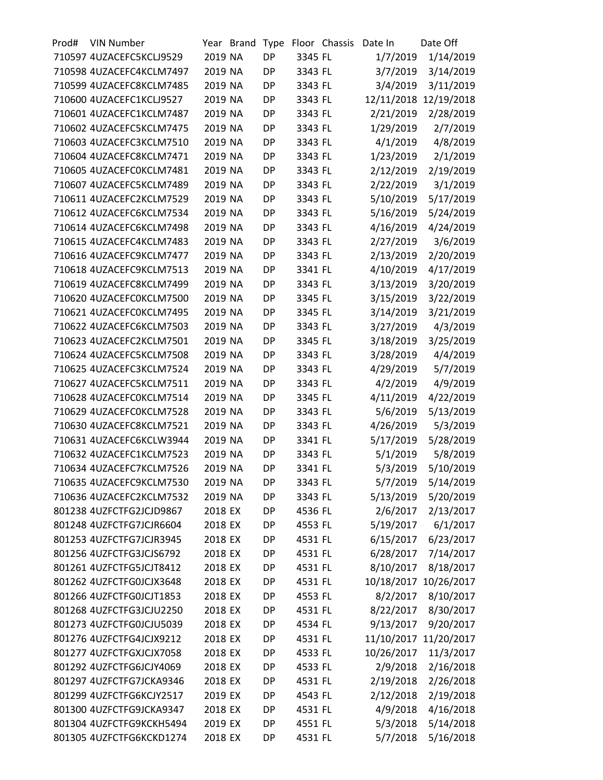| Prod# | <b>VIN Number</b>        | Year    | <b>Brand</b> | Type      |         | Floor Chassis | Date In    | Date Off              |
|-------|--------------------------|---------|--------------|-----------|---------|---------------|------------|-----------------------|
|       | 710597 4UZACEFC5KCLJ9529 | 2019 NA |              | <b>DP</b> | 3345 FL |               | 1/7/2019   | 1/14/2019             |
|       | 710598 4UZACEFC4KCLM7497 | 2019 NA |              | DP        | 3343 FL |               | 3/7/2019   | 3/14/2019             |
|       | 710599 4UZACEFC8KCLM7485 | 2019 NA |              | DP        | 3343 FL |               | 3/4/2019   | 3/11/2019             |
|       | 710600 4UZACEFC1KCLJ9527 | 2019 NA |              | <b>DP</b> | 3343 FL |               | 12/11/2018 | 12/19/2018            |
|       | 710601 4UZACEFC1KCLM7487 | 2019 NA |              | DP        | 3343 FL |               | 2/21/2019  | 2/28/2019             |
|       | 710602 4UZACEFC5KCLM7475 | 2019 NA |              | <b>DP</b> | 3343 FL |               | 1/29/2019  | 2/7/2019              |
|       | 710603 4UZACEFC3KCLM7510 | 2019 NA |              | DP        | 3343 FL |               | 4/1/2019   | 4/8/2019              |
|       | 710604 4UZACEFC8KCLM7471 | 2019 NA |              | <b>DP</b> | 3343 FL |               | 1/23/2019  | 2/1/2019              |
|       | 710605 4UZACEFC0KCLM7481 | 2019 NA |              | <b>DP</b> | 3343 FL |               | 2/12/2019  | 2/19/2019             |
|       | 710607 4UZACEFC5KCLM7489 | 2019 NA |              | DP        | 3343 FL |               | 2/22/2019  | 3/1/2019              |
|       | 710611 4UZACEFC2KCLM7529 | 2019 NA |              | <b>DP</b> | 3343 FL |               | 5/10/2019  | 5/17/2019             |
|       | 710612 4UZACEFC6KCLM7534 | 2019 NA |              | <b>DP</b> | 3343 FL |               | 5/16/2019  | 5/24/2019             |
|       | 710614 4UZACEFC6KCLM7498 | 2019 NA |              | <b>DP</b> | 3343 FL |               | 4/16/2019  | 4/24/2019             |
|       | 710615 4UZACEFC4KCLM7483 | 2019 NA |              | <b>DP</b> | 3343 FL |               | 2/27/2019  | 3/6/2019              |
|       | 710616 4UZACEFC9KCLM7477 | 2019 NA |              | DP        | 3343 FL |               | 2/13/2019  | 2/20/2019             |
|       | 710618 4UZACEFC9KCLM7513 | 2019 NA |              | <b>DP</b> | 3341 FL |               | 4/10/2019  | 4/17/2019             |
|       | 710619 4UZACEFC8KCLM7499 | 2019 NA |              | <b>DP</b> | 3343 FL |               | 3/13/2019  | 3/20/2019             |
|       | 710620 4UZACEFC0KCLM7500 | 2019 NA |              | <b>DP</b> | 3345 FL |               | 3/15/2019  | 3/22/2019             |
|       | 710621 4UZACEFC0KCLM7495 | 2019 NA |              | <b>DP</b> | 3345 FL |               | 3/14/2019  | 3/21/2019             |
|       | 710622 4UZACEFC6KCLM7503 | 2019 NA |              | DP        | 3343 FL |               | 3/27/2019  | 4/3/2019              |
|       | 710623 4UZACEFC2KCLM7501 | 2019 NA |              | <b>DP</b> | 3345 FL |               | 3/18/2019  | 3/25/2019             |
|       | 710624 4UZACEFC5KCLM7508 | 2019 NA |              | <b>DP</b> | 3343 FL |               | 3/28/2019  | 4/4/2019              |
|       | 710625 4UZACEFC3KCLM7524 | 2019 NA |              | <b>DP</b> | 3343 FL |               | 4/29/2019  | 5/7/2019              |
|       | 710627 4UZACEFC5KCLM7511 | 2019 NA |              | <b>DP</b> | 3343 FL |               | 4/2/2019   | 4/9/2019              |
|       | 710628 4UZACEFC0KCLM7514 | 2019 NA |              | DP        | 3345 FL |               | 4/11/2019  | 4/22/2019             |
|       | 710629 4UZACEFC0KCLM7528 | 2019 NA |              | <b>DP</b> | 3343 FL |               | 5/6/2019   | 5/13/2019             |
|       | 710630 4UZACEFC8KCLM7521 | 2019 NA |              | DP        | 3343 FL |               | 4/26/2019  | 5/3/2019              |
|       | 710631 4UZACEFC6KCLW3944 | 2019 NA |              | <b>DP</b> | 3341 FL |               | 5/17/2019  | 5/28/2019             |
|       | 710632 4UZACEFC1KCLM7523 | 2019 NA |              | <b>DP</b> | 3343 FL |               | 5/1/2019   | 5/8/2019              |
|       | 710634 4UZACEFC7KCLM7526 | 2019 NA |              | DP        | 3341 FL |               | 5/3/2019   | 5/10/2019             |
|       | 710635 4UZACEFC9KCLM7530 | 2019 NA |              | DP        | 3343 FL |               | 5/7/2019   | 5/14/2019             |
|       | 710636 4UZACEFC2KCLM7532 | 2019 NA |              | DP        | 3343 FL |               | 5/13/2019  | 5/20/2019             |
|       | 801238 4UZFCTFG2JCJD9867 | 2018 EX |              | DP        | 4536 FL |               | 2/6/2017   | 2/13/2017             |
|       | 801248 4UZFCTFG7JCJR6604 | 2018 EX |              | <b>DP</b> | 4553 FL |               | 5/19/2017  | 6/1/2017              |
|       | 801253 4UZFCTFG7JCJR3945 | 2018 EX |              | DP        | 4531 FL |               | 6/15/2017  | 6/23/2017             |
|       | 801256 4UZFCTFG3JCJS6792 | 2018 EX |              | <b>DP</b> | 4531 FL |               | 6/28/2017  | 7/14/2017             |
|       | 801261 4UZFCTFG5JCJT8412 | 2018 EX |              | DP        | 4531 FL |               | 8/10/2017  | 8/18/2017             |
|       | 801262 4UZFCTFG0JCJX3648 | 2018 EX |              | DP        | 4531 FL |               |            | 10/18/2017 10/26/2017 |
|       | 801266 4UZFCTFG0JCJT1853 | 2018 EX |              | <b>DP</b> | 4553 FL |               | 8/2/2017   | 8/10/2017             |
|       | 801268 4UZFCTFG3JCJU2250 | 2018 EX |              | DP        | 4531 FL |               | 8/22/2017  | 8/30/2017             |
|       | 801273 4UZFCTFG0JCJU5039 | 2018 EX |              | <b>DP</b> | 4534 FL |               | 9/13/2017  |                       |
|       |                          |         |              |           |         |               |            | 9/20/2017             |
|       | 801276 4UZFCTFG4JCJX9212 | 2018 EX |              | DP        | 4531 FL |               |            | 11/10/2017 11/20/2017 |
|       | 801277 4UZFCTFGXJCJX7058 | 2018 EX |              | DP        | 4533 FL |               | 10/26/2017 | 11/3/2017             |
|       | 801292 4UZFCTFG6JCJY4069 | 2018 EX |              | <b>DP</b> | 4533 FL |               | 2/9/2018   | 2/16/2018             |
|       | 801297 4UZFCTFG7JCKA9346 | 2018 EX |              | DP        | 4531 FL |               | 2/19/2018  | 2/26/2018             |
|       | 801299 4UZFCTFG6KCJY2517 | 2019 EX |              | <b>DP</b> | 4543 FL |               | 2/12/2018  | 2/19/2018             |
|       | 801300 4UZFCTFG9JCKA9347 | 2018 EX |              | DP        | 4531 FL |               | 4/9/2018   | 4/16/2018             |
|       | 801304 4UZFCTFG9KCKH5494 | 2019 EX |              | DP        | 4551 FL |               | 5/3/2018   | 5/14/2018             |
|       | 801305 4UZFCTFG6KCKD1274 | 2018 EX |              | DP        | 4531 FL |               | 5/7/2018   | 5/16/2018             |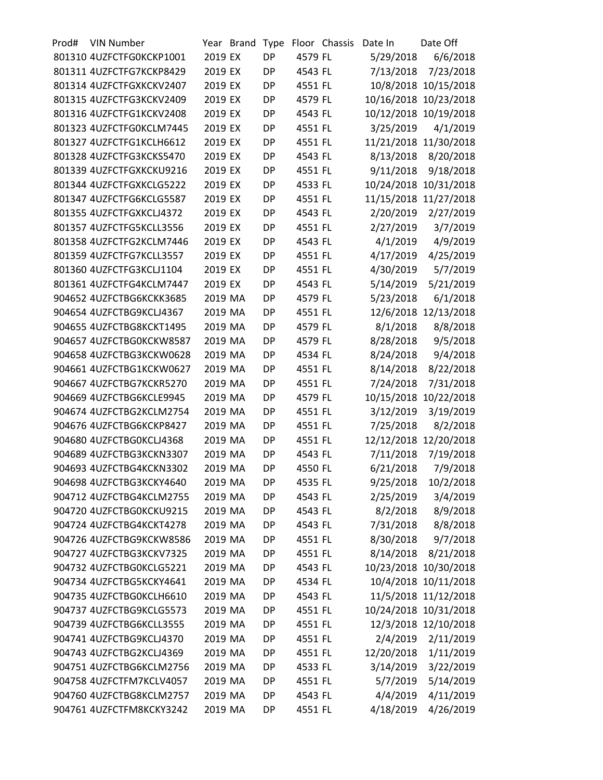| Prod# | <b>VIN Number</b>        |         | Year Brand | Type      |         | Floor Chassis | Date In    | Date Off              |
|-------|--------------------------|---------|------------|-----------|---------|---------------|------------|-----------------------|
|       | 801310 4UZFCTFG0KCKP1001 | 2019 EX |            | <b>DP</b> | 4579 FL |               | 5/29/2018  | 6/6/2018              |
|       | 801311 4UZFCTFG7KCKP8429 | 2019 EX |            | <b>DP</b> | 4543 FL |               | 7/13/2018  | 7/23/2018             |
|       | 801314 4UZFCTFGXKCKV2407 | 2019 EX |            | DP        | 4551 FL |               |            | 10/8/2018 10/15/2018  |
|       | 801315 4UZFCTFG3KCKV2409 | 2019 EX |            | <b>DP</b> | 4579 FL |               |            | 10/16/2018 10/23/2018 |
|       | 801316 4UZFCTFG1KCKV2408 | 2019 EX |            | DP        | 4543 FL |               |            | 10/12/2018 10/19/2018 |
|       | 801323 4UZFCTFG0KCLM7445 | 2019 EX |            | <b>DP</b> | 4551 FL |               | 3/25/2019  | 4/1/2019              |
|       | 801327 4UZFCTFG1KCLH6612 | 2019 EX |            | <b>DP</b> | 4551 FL |               |            | 11/21/2018 11/30/2018 |
|       | 801328 4UZFCTFG3KCKS5470 | 2019 EX |            | <b>DP</b> | 4543 FL |               | 8/13/2018  | 8/20/2018             |
|       | 801339 4UZFCTFGXKCKU9216 | 2019 EX |            | <b>DP</b> | 4551 FL |               | 9/11/2018  | 9/18/2018             |
|       | 801344 4UZFCTFGXKCLG5222 | 2019 EX |            | DP        | 4533 FL |               | 10/24/2018 | 10/31/2018            |
|       | 801347 4UZFCTFG6KCLG5587 | 2019 EX |            | <b>DP</b> | 4551 FL |               |            | 11/15/2018 11/27/2018 |
|       | 801355 4UZFCTFGXKCLJ4372 | 2019 EX |            | <b>DP</b> | 4543 FL |               | 2/20/2019  | 2/27/2019             |
|       | 801357 4UZFCTFG5KCLL3556 | 2019 EX |            | <b>DP</b> | 4551 FL |               | 2/27/2019  | 3/7/2019              |
|       | 801358 4UZFCTFG2KCLM7446 | 2019 EX |            | <b>DP</b> | 4543 FL |               | 4/1/2019   | 4/9/2019              |
|       | 801359 4UZFCTFG7KCLL3557 | 2019 EX |            | DP        | 4551 FL |               | 4/17/2019  | 4/25/2019             |
|       | 801360 4UZFCTFG3KCLJ1104 | 2019 EX |            | DP        | 4551 FL |               | 4/30/2019  | 5/7/2019              |
|       | 801361 4UZFCTFG4KCLM7447 | 2019 EX |            | <b>DP</b> | 4543 FL |               | 5/14/2019  | 5/21/2019             |
|       | 904652 4UZFCTBG6KCKK3685 | 2019 MA |            | DP        | 4579 FL |               | 5/23/2018  | 6/1/2018              |
|       | 904654 4UZFCTBG9KCLJ4367 | 2019 MA |            | <b>DP</b> | 4551 FL |               |            | 12/6/2018 12/13/2018  |
|       | 904655 4UZFCTBG8KCKT1495 | 2019 MA |            | DP        | 4579 FL |               | 8/1/2018   | 8/8/2018              |
|       | 904657 4UZFCTBG0KCKW8587 | 2019 MA |            | DP        | 4579 FL |               | 8/28/2018  | 9/5/2018              |
|       | 904658 4UZFCTBG3KCKW0628 | 2019 MA |            | <b>DP</b> | 4534 FL |               | 8/24/2018  | 9/4/2018              |
|       | 904661 4UZFCTBG1KCKW0627 | 2019 MA |            | <b>DP</b> | 4551 FL |               | 8/14/2018  | 8/22/2018             |
|       | 904667 4UZFCTBG7KCKR5270 | 2019 MA |            | <b>DP</b> | 4551 FL |               | 7/24/2018  | 7/31/2018             |
|       | 904669 4UZFCTBG6KCLE9945 | 2019 MA |            | DP        | 4579 FL |               |            | 10/15/2018 10/22/2018 |
|       | 904674 4UZFCTBG2KCLM2754 | 2019 MA |            | DP        | 4551 FL |               | 3/12/2019  | 3/19/2019             |
|       | 904676 4UZFCTBG6KCKP8427 | 2019 MA |            | <b>DP</b> | 4551 FL |               | 7/25/2018  | 8/2/2018              |
|       | 904680 4UZFCTBG0KCLJ4368 | 2019 MA |            | <b>DP</b> | 4551 FL |               | 12/12/2018 | 12/20/2018            |
|       | 904689 4UZFCTBG3KCKN3307 | 2019 MA |            | <b>DP</b> | 4543 FL |               | 7/11/2018  | 7/19/2018             |
|       | 904693 4UZFCTBG4KCKN3302 | 2019 MA |            | <b>DP</b> | 4550 FL |               | 6/21/2018  | 7/9/2018              |
|       | 904698 4UZFCTBG3KCKY4640 | 2019 MA |            | <b>DP</b> | 4535 FL |               | 9/25/2018  | 10/2/2018             |
|       | 904712 4UZFCTBG4KCLM2755 | 2019 MA |            | <b>DP</b> | 4543 FL |               | 2/25/2019  | 3/4/2019              |
|       | 904720 4UZFCTBG0KCKU9215 | 2019 MA |            | DP        | 4543 FL |               | 8/2/2018   | 8/9/2018              |
|       | 904724 4UZFCTBG4KCKT4278 | 2019 MA |            | <b>DP</b> | 4543 FL |               | 7/31/2018  | 8/8/2018              |
|       | 904726 4UZFCTBG9KCKW8586 | 2019 MA |            | DP        | 4551 FL |               | 8/30/2018  | 9/7/2018              |
|       | 904727 4UZFCTBG3KCKV7325 | 2019 MA |            | DP        | 4551 FL |               | 8/14/2018  | 8/21/2018             |
|       | 904732 4UZFCTBG0KCLG5221 | 2019 MA |            | <b>DP</b> | 4543 FL |               |            | 10/23/2018 10/30/2018 |
|       | 904734 4UZFCTBG5KCKY4641 | 2019 MA |            | DP        | 4534 FL |               |            | 10/4/2018 10/11/2018  |
|       | 904735 4UZFCTBG0KCLH6610 | 2019 MA |            | <b>DP</b> | 4543 FL |               |            | 11/5/2018 11/12/2018  |
|       | 904737 4UZFCTBG9KCLG5573 | 2019 MA |            | DP        | 4551 FL |               |            | 10/24/2018 10/31/2018 |
|       | 904739 4UZFCTBG6KCLL3555 | 2019 MA |            | DP        | 4551 FL |               |            | 12/3/2018 12/10/2018  |
|       | 904741 4UZFCTBG9KCLJ4370 | 2019 MA |            | DP        | 4551 FL |               | 2/4/2019   | 2/11/2019             |
|       | 904743 4UZFCTBG2KCLJ4369 | 2019 MA |            | DP        | 4551 FL |               | 12/20/2018 | 1/11/2019             |
|       | 904751 4UZFCTBG6KCLM2756 | 2019 MA |            | <b>DP</b> | 4533 FL |               | 3/14/2019  | 3/22/2019             |
|       | 904758 4UZFCTFM7KCLV4057 | 2019 MA |            | DP        | 4551 FL |               | 5/7/2019   | 5/14/2019             |
|       | 904760 4UZFCTBG8KCLM2757 | 2019 MA |            | DP        | 4543 FL |               | 4/4/2019   | 4/11/2019             |
|       | 904761 4UZFCTFM8KCKY3242 | 2019 MA |            | DP        | 4551 FL |               | 4/18/2019  | 4/26/2019             |